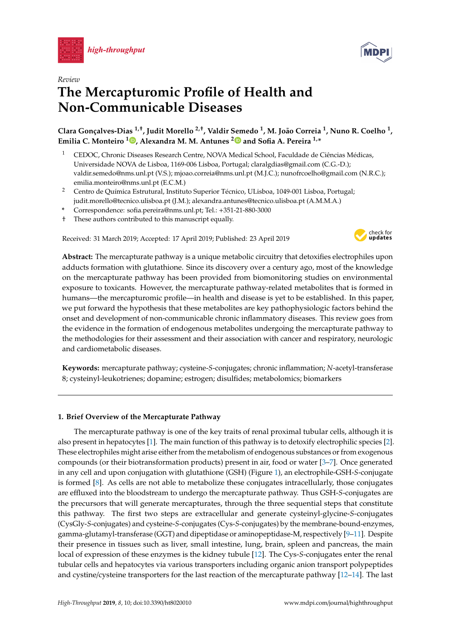



# **The Mercapturomic Profile of Health and Non-Communicable Diseases**

**Clara Gonçalves-Dias 1,**† **, Judit Morello 2,**† **, Valdir Semedo <sup>1</sup> , M. João Correia <sup>1</sup> , Nuno R. Coelho <sup>1</sup> , Emilia C. Monteiro <sup>1</sup> [,](https://orcid.org/0000-0002-0570-0765) Alexandra M. M. Antunes [2](https://orcid.org/0000-0003-1827-7369) and Sofia A. Pereira 1,\***

- <sup>1</sup> CEDOC, Chronic Diseases Research Centre, NOVA Medical School, Faculdade de Ciências Médicas, Universidade NOVA de Lisboa, 1169-006 Lisboa, Portugal; claralgdias@gmail.com (C.G.-D.); valdir.semedo@nms.unl.pt (V.S.); mjoao.correia@nms.unl.pt (M.J.C.); nunofrcoelho@gmail.com (N.R.C.); emilia.monteiro@nms.unl.pt (E.C.M.)
- <sup>2</sup> Centro de Química Estrutural, Instituto Superior Técnico, ULisboa, 1049-001 Lisboa, Portugal; judit.morello@tecnico.ulisboa.pt (J.M.); alexandra.antunes@tecnico.ulisboa.pt (A.M.M.A.)
- **\*** Correspondence: sofia.pereira@nms.unl.pt; Tel.: +351-21-880-3000
- † These authors contributed to this manuscript equally.

Received: 31 March 2019; Accepted: 17 April 2019; Published: 23 April 2019



**Abstract:** The mercapturate pathway is a unique metabolic circuitry that detoxifies electrophiles upon adducts formation with glutathione. Since its discovery over a century ago, most of the knowledge on the mercapturate pathway has been provided from biomonitoring studies on environmental exposure to toxicants. However, the mercapturate pathway-related metabolites that is formed in humans—the mercapturomic profile—in health and disease is yet to be established. In this paper, we put forward the hypothesis that these metabolites are key pathophysiologic factors behind the onset and development of non-communicable chronic inflammatory diseases. This review goes from the evidence in the formation of endogenous metabolites undergoing the mercapturate pathway to the methodologies for their assessment and their association with cancer and respiratory, neurologic and cardiometabolic diseases.

**Keywords:** mercapturate pathway; cysteine-*S*-conjugates; chronic inflammation; *N*-acetyl-transferase 8; cysteinyl-leukotrienes; dopamine; estrogen; disulfides; metabolomics; biomarkers

# **1. Brief Overview of the Mercapturate Pathway**

The mercapturate pathway is one of the key traits of renal proximal tubular cells, although it is also present in hepatocytes [\[1\]](#page-18-0). The main function of this pathway is to detoxify electrophilic species [\[2\]](#page-18-1). These electrophiles might arise either from the metabolism of endogenous substances or from exogenous compounds (or their biotransformation products) present in air, food or water [\[3](#page-18-2)[–7\]](#page-18-3). Once generated in any cell and upon conjugation with glutathione (GSH) (Figure [1\)](#page-1-0), an electrophile-GSH-*S*-conjugate is formed [\[8\]](#page-19-0). As cells are not able to metabolize these conjugates intracellularly, those conjugates are effluxed into the bloodstream to undergo the mercapturate pathway. Thus GSH-*S*-conjugates are the precursors that will generate mercapturates, through the three sequential steps that constitute this pathway. The first two steps are extracellular and generate cysteinyl-glycine-*S*-conjugates (CysGly-*S*-conjugates) and cysteine-*S*-conjugates (Cys-*S*-conjugates) by the membrane-bound-enzymes, gamma-glutamyl-transferase (GGT) and dipeptidase or aminopeptidase-M, respectively [\[9–](#page-19-1)[11\]](#page-19-2). Despite their presence in tissues such as liver, small intestine, lung, brain, spleen and pancreas, the main local of expression of these enzymes is the kidney tubule [\[12\]](#page-19-3). The Cys-*S*-conjugates enter the renal tubular cells and hepatocytes via various transporters including organic anion transport polypeptides and cystine/cysteine transporters for the last reaction of the mercapturate pathway [\[12](#page-19-3)[–14\]](#page-19-4). The last

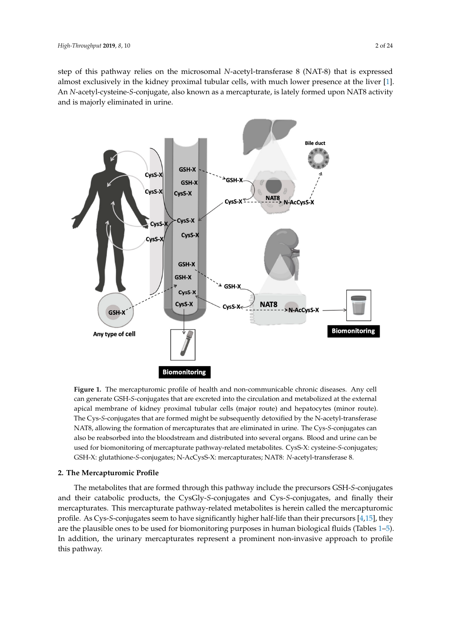step of this pathway relies on the microsomal *N*-acetyl-transferase 8 (NAT-8) that is expressed almost exclusively in the kidney proximal tubular cells, with much lower presence at the liver [\[1\]](#page-18-0). An N-acetyl-cysteine-S-conjugate, also known as a mercapturate, is lately formed upon NAT8 activity and is majorly eliminated in urine.

<span id="page-1-0"></span>

**Figure 1.** The mercapturomic profile of health and non-communicable chronic diseases. Any cell can **Figure 1.** The mercapturomic profile of health and non-communicable chronic diseases. Any cell generate GSH-*S*-conjugates that are excreted into the circulation and metabolized at the external can generate GSH-*S*-conjugates that are excreted into the circulation and metabolized at the external apical membrane of kidney proximal tubular cells (major route) and hepatocytes (minor route). The apical membrane of kidney proximal tubular cells (major route) and hepatocytes (minor route). Cys-*S*-conjugates that are formed might be subsequently detoxified by the N-acetyl-transferase The Cys-*S*-conjugates that are formed might be subsequently detoxified by the N-acetyl-transferase NAT8, allowing the formation of mercapturates that are eliminated in urine. The Cys-*S*-conjugates NAT8, allowing the formation of mercapturates that are eliminated in urine. The Cys-*S*-conjugates can also be reabsorbed into the bloodstream and distributed into several organs. Blood and urine can be be used for biomonitoring of mercapturate pathway-related metabolites. CysS-X: cysteine-*S*-used for biomonitoring of mercapturate pathway-related metabolites. CysS-X: cysteine-*S*-conjugates; conjugates; GSH-X: glutathione-*S*-conjugates; N-AcCysS-X: mercapturates; NAT8: *N*-acetyl-GSH-X: glutathione-*S*-conjugates; N-AcCysS-X: mercapturates; NAT8: *N*-acetyl-transferase 8.

# 2. The Mercapturomic Profile

The metabolites that are formed through this pathway include the precursors GSH-*S*-conjugates mercapturates. This mercapturate pathway-related metabolites is herein called the mercapturomic profile. As Cys-*S*-conjugates seem to have significantly higher half-life than their precursors [\[4](#page-18-4)[,15\]](#page-19-5), they are the plausible ones to be used for biomonitoring purposes in human biological fluids (Tables [1–](#page-4-0)[5\)](#page-16-0). profile. As Cys-*S-conjugates seem to have significantly higher half-life than* the significant higher half-life than the surface than the surface than the surface than the surface than the surface than the surface than th In addition, the urinary mercapturates represent a prominent non-invasive approach to profile<br>this nathway  $\frac{1}{2}$ , in addition, the urinary mercapturates represent a property a property approach to profile approach to profile approach to profile approach to profile approach to profile approach to profile approach to profile and their catabolic products, the CysGly-*S*-conjugates and Cys-*S*-conjugates, and finally their this pathway.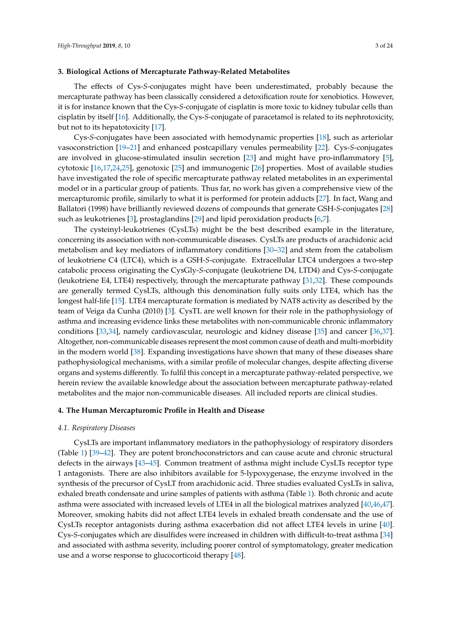# **3. Biological Actions of Mercapturate Pathway-Related Metabolites**

The effects of Cys-*S*-conjugates might have been underestimated, probably because the mercapturate pathway has been classically considered a detoxification route for xenobiotics. However, it is for instance known that the Cys-*S*-conjugate of cisplatin is more toxic to kidney tubular cells than cisplatin by itself [\[16\]](#page-19-6). Additionally, the Cys-*S*-conjugate of paracetamol is related to its nephrotoxicity, but not to its hepatotoxicity [\[17\]](#page-19-7).

Cys-*S*-conjugates have been associated with hemodynamic properties [\[18\]](#page-19-8), such as arteriolar vasoconstriction [\[19–](#page-19-9)[21\]](#page-19-10) and enhanced postcapillary venules permeability [\[22\]](#page-19-11). Cys-*S*-conjugates are involved in glucose-stimulated insulin secretion [\[23\]](#page-19-12) and might have pro-inflammatory [\[5\]](#page-18-5), cytotoxic [\[16,](#page-19-6)[17,](#page-19-7)[24,](#page-19-13)[25\]](#page-19-14), genotoxic [\[25\]](#page-19-14) and immunogenic [\[26\]](#page-19-15) properties. Most of available studies have investigated the role of specific mercapturate pathway related metabolites in an experimental model or in a particular group of patients. Thus far, no work has given a comprehensive view of the mercapturomic profile, similarly to what it is performed for protein adducts [\[27\]](#page-19-16). In fact, Wang and Ballatori (1998) have brilliantly reviewed dozens of compounds that generate GSH-*S*-conjugates [\[28\]](#page-19-17) such as leukotrienes [\[3\]](#page-18-2), prostaglandins [\[29\]](#page-19-18) and lipid peroxidation products [\[6,](#page-18-6)[7\]](#page-18-3).

The cysteinyl-leukotrienes (CysLTs) might be the best described example in the literature, concerning its association with non-communicable diseases. CysLTs are products of arachidonic acid metabolism and key mediators of inflammatory conditions [\[30](#page-20-0)[–32\]](#page-20-1) and stem from the catabolism of leukotriene C4 (LTC4), which is a GSH-*S*-conjugate. Extracellular LTC4 undergoes a two-step catabolic process originating the CysGly-*S*-conjugate (leukotriene D4, LTD4) and Cys-*S*-conjugate (leukotriene E4, LTE4) respectively, through the mercapturate pathway [\[31,](#page-20-2)[32\]](#page-20-1). These compounds are generally termed CysLTs, although this denomination fully suits only LTE4, which has the longest half-life [\[15\]](#page-19-5). LTE4 mercapturate formation is mediated by NAT8 activity as described by the team of Veiga da Cunha (2010) [\[3\]](#page-18-2). CysTL are well known for their role in the pathophysiology of asthma and increasing evidence links these metabolites with non-communicable chronic inflammatory conditions [\[33,](#page-20-3)[34\]](#page-20-4), namely cardiovascular, neurologic and kidney disease [\[35\]](#page-20-5) and cancer [\[36,](#page-20-6)[37\]](#page-20-7). Altogether, non-communicable diseases represent the most common cause of death and multi-morbidity in the modern world [\[38\]](#page-20-8). Expanding investigations have shown that many of these diseases share pathophysiological mechanisms, with a similar profile of molecular changes, despite affecting diverse organs and systems differently. To fulfil this concept in a mercapturate pathway-related perspective, we herein review the available knowledge about the association between mercapturate pathway-related metabolites and the major non-communicable diseases. All included reports are clinical studies.

# **4. The Human Mercapturomic Profile in Health and Disease**

### *4.1. Respiratory Diseases*

CysLTs are important inflammatory mediators in the pathophysiology of respiratory disorders (Table [1\)](#page-4-0) [\[39](#page-20-9)[–42\]](#page-20-10). They are potent bronchoconstrictors and can cause acute and chronic structural defects in the airways [\[43–](#page-20-11)[45\]](#page-20-12). Common treatment of asthma might include CysLTs receptor type 1 antagonists. There are also inhibitors available for 5-lypoxygenase, the enzyme involved in the synthesis of the precursor of CysLT from arachidonic acid. Three studies evaluated CysLTs in saliva, exhaled breath condensate and urine samples of patients with asthma (Table [1\)](#page-4-0). Both chronic and acute asthma were associated with increased levels of LTE4 in all the biological matrixes analyzed [\[40](#page-20-13)[,46](#page-20-14)[,47\]](#page-20-15). Moreover, smoking habits did not affect LTE4 levels in exhaled breath condensate and the use of CysLTs receptor antagonists during asthma exacerbation did not affect LTE4 levels in urine [\[40\]](#page-20-13). Cys-*S*-conjugates which are disulfides were increased in children with difficult-to-treat asthma [\[34\]](#page-20-4) and associated with asthma severity, including poorer control of symptomatology, greater medication use and a worse response to glucocorticoid therapy [\[48\]](#page-20-16).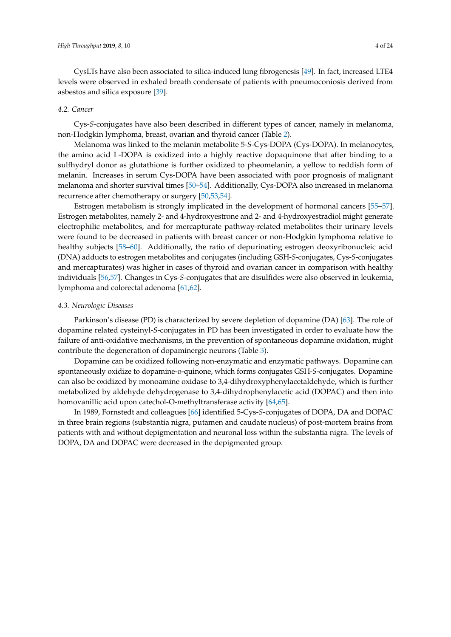CysLTs have also been associated to silica-induced lung fibrogenesis [\[49\]](#page-20-17). In fact, increased LTE4 levels were observed in exhaled breath condensate of patients with pneumoconiosis derived from asbestos and silica exposure [\[39\]](#page-20-9).

### *4.2. Cancer*

Cys-*S*-conjugates have also been described in different types of cancer, namely in melanoma, non-Hodgkin lymphoma, breast, ovarian and thyroid cancer (Table [2\)](#page-8-0).

Melanoma was linked to the melanin metabolite 5-*S*-Cys-DOPA (Cys-DOPA). In melanocytes, the amino acid L-DOPA is oxidized into a highly reactive dopaquinone that after binding to a sulfhydryl donor as glutathione is further oxidized to pheomelanin, a yellow to reddish form of melanin. Increases in serum Cys-DOPA have been associated with poor prognosis of malignant melanoma and shorter survival times [\[50–](#page-20-18)[54\]](#page-21-0). Additionally, Cys-DOPA also increased in melanoma recurrence after chemotherapy or surgery [\[50,](#page-20-18)[53,](#page-21-1)[54\]](#page-21-0).

Estrogen metabolism is strongly implicated in the development of hormonal cancers [\[55–](#page-21-2)[57\]](#page-21-3). Estrogen metabolites, namely 2- and 4-hydroxyestrone and 2- and 4-hydroxyestradiol might generate electrophilic metabolites, and for mercapturate pathway-related metabolites their urinary levels were found to be decreased in patients with breast cancer or non-Hodgkin lymphoma relative to healthy subjects [\[58–](#page-21-4)[60\]](#page-21-5). Additionally, the ratio of depurinating estrogen deoxyribonucleic acid (DNA) adducts to estrogen metabolites and conjugates (including GSH-*S*-conjugates, Cys-*S*-conjugates and mercapturates) was higher in cases of thyroid and ovarian cancer in comparison with healthy individuals [\[56,](#page-21-6)[57\]](#page-21-3). Changes in Cys-*S*-conjugates that are disulfides were also observed in leukemia, lymphoma and colorectal adenoma [\[61,](#page-21-7)[62\]](#page-21-8).

# *4.3. Neurologic Diseases*

Parkinson's disease (PD) is characterized by severe depletion of dopamine (DA) [\[63\]](#page-21-9). The role of dopamine related cysteinyl-*S*-conjugates in PD has been investigated in order to evaluate how the failure of anti-oxidative mechanisms, in the prevention of spontaneous dopamine oxidation, might contribute the degeneration of dopaminergic neurons (Table [3\)](#page-9-0).

Dopamine can be oxidized following non-enzymatic and enzymatic pathways. Dopamine can spontaneously oxidize to dopamine-o-quinone, which forms conjugates GSH-*S*-conjugates. Dopamine can also be oxidized by monoamine oxidase to 3,4-dihydroxyphenylacetaldehyde, which is further metabolized by aldehyde dehydrogenase to 3,4-dihydrophenylacetic acid (DOPAC) and then into homovanillic acid upon catechol-O-methyltransferase activity [\[64](#page-21-10)[,65\]](#page-21-11).

In 1989, Fornstedt and colleagues [\[66\]](#page-21-12) identified 5-Cys-*S*-conjugates of DOPA, DA and DOPAC in three brain regions (substantia nigra, putamen and caudate nucleus) of post-mortem brains from patients with and without depigmentation and neuronal loss within the substantia nigra. The levels of DOPA, DA and DOPAC were decreased in the depigmented group.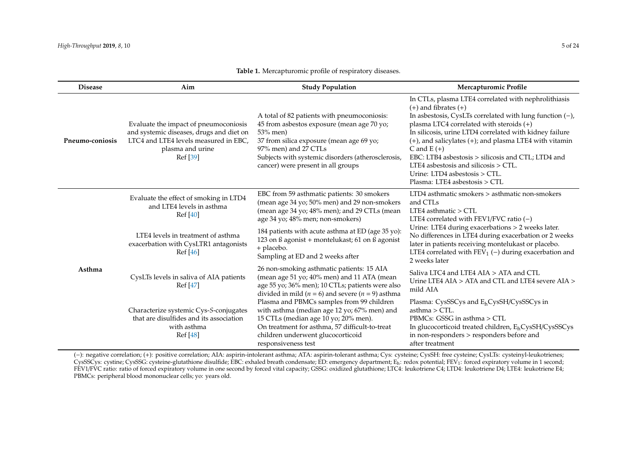| <b>Disease</b>  | Aim                                                                                                                                                        | <b>Study Population</b>                                                                                                                                                                                                                                               | Mercapturomic Profile                                                                                                                                                                                                                                                                                                                                                                                                                                                                                       |
|-----------------|------------------------------------------------------------------------------------------------------------------------------------------------------------|-----------------------------------------------------------------------------------------------------------------------------------------------------------------------------------------------------------------------------------------------------------------------|-------------------------------------------------------------------------------------------------------------------------------------------------------------------------------------------------------------------------------------------------------------------------------------------------------------------------------------------------------------------------------------------------------------------------------------------------------------------------------------------------------------|
| Pneumo-coniosis | Evaluate the impact of pneumoconiosis<br>and systemic diseases, drugs and diet on<br>LTC4 and LTE4 levels measured in EBC,<br>plasma and urine<br>Ref [39] | A total of 82 patients with pneumoconiosis:<br>45 from asbestos exposure (mean age 70 yo;<br>53% men)<br>37 from silica exposure (mean age 69 yo;<br>97% men) and 27 CTLs<br>Subjects with systemic disorders (atherosclerosis,<br>cancer) were present in all groups | In CTLs, plasma LTE4 correlated with nephrolithiasis<br>$(+)$ and fibrates $(+)$<br>In asbestosis, CysLTs correlated with lung function $(-)$ ,<br>plasma LTC4 correlated with steroids $(+)$<br>In silicosis, urine LTD4 correlated with kidney failure<br>$(+)$ , and salicylates $(+)$ ; and plasma LTE4 with vitamin<br>C and $E (+)$<br>EBC: LTB4 asbestosis > silicosis and CTL; LTD4 and<br>LTE4 asbestosis and silicosis $>$ CTL.<br>Urine: LTD4 asbestosis > CTL.<br>Plasma: LTE4 asbestosis > CTL |
| Asthma          | Evaluate the effect of smoking in LTD4<br>and LTE4 levels in asthma<br>Ref [40]                                                                            | EBC from 59 asthmatic patients: 30 smokers<br>(mean age 34 yo; 50% men) and 29 non-smokers<br>(mean age 34 yo; 48% men); and 29 CTLs (mean<br>age 34 yo; 48% men; non-smokers)                                                                                        | LTD4 asthmatic smokers > asthmatic non-smokers<br>and CTLs<br>LTE4 asthmatic $>$ CTL<br>LTE4 correlated with FEV1/FVC ratio $(-)$                                                                                                                                                                                                                                                                                                                                                                           |
|                 | LTE4 levels in treatment of asthma<br>exacerbation with CysLTR1 antagonists<br>Ref [46]                                                                    | 184 patients with acute asthma at ED (age 35 yo):<br>123 on ß agonist + montelukast; 61 on ß agonist<br>+ placebo.<br>Sampling at ED and 2 weeks after                                                                                                                | Urine: LTE4 during exacerbations > 2 weeks later.<br>No differences in LTE4 during exacerbation or 2 weeks<br>later in patients receiving montelukast or placebo.<br>LTE4 correlated with $FEV_1$ (-) during exacerbation and<br>2 weeks later                                                                                                                                                                                                                                                              |
|                 | CysLTs levels in saliva of AIA patients<br>Ref [47]                                                                                                        | 26 non-smoking asthmatic patients: 15 AIA<br>(mean age 51 yo; 40% men) and 11 ATA (mean<br>age 55 yo; 36% men); 10 CTLs; patients were also<br>divided in mild ( $n = 6$ ) and severe ( $n = 9$ ) asthma                                                              | Saliva LTC4 and LTE4 AIA > ATA and CTL<br>Urine LTE4 AIA > ATA and CTL and LTE4 severe AIA ><br>mild AIA                                                                                                                                                                                                                                                                                                                                                                                                    |
|                 | Characterize systemic Cys-S-conjugates<br>that are disulfides and its association<br>with asthma<br>Ref [48]                                               | Plasma and PBMCs samples from 99 children<br>with asthma (median age 12 yo; 67% men) and<br>15 CTLs (median age 10 yo; 20% men).<br>On treatment for asthma, 57 difficult-to-treat<br>children underwent glucocorticoid<br>responsiveness test                        | Plasma: CysSSCys and E <sub>h</sub> CysSH/CysSSCys in<br>$asthma > CTL$ .<br>PBMCs: GSSG in asthma > CTL<br>In glucocorticoid treated children, E <sub>h</sub> CysSH/CysSSCys<br>in non-responders > responders before and<br>after treatment                                                                                                                                                                                                                                                               |

# **Table 1.** Mercapturomic profile of respiratory diseases.

<span id="page-4-0"></span>(−): negative correlation; (+): positive correlation; AIA: aspirin-intolerant asthma; ATA: aspirin-tolerant asthma; Cys: cysteine; CysSH: free cysteine; CysLTs: cysteinyl-leukotrienes; CysSSCys: cystine; CysSSG: cysteine-glutathione disulfide; EBC: exhaled breath condensate; ED: emergency department; E<sub>h</sub>: redox potential; FEV<sub>1</sub>: forced expiratory volume in 1 second; FEV1/FVC ratio: ratio of forced expiratory volume in one second by forced vital capacity; GSSG: oxidized glutathione; LTC4: leukotriene C4; LTD4: leukotriene D4; LTE4: leukotriene E4; PBMCs: peripheral blood mononuclear cells; yo: years old.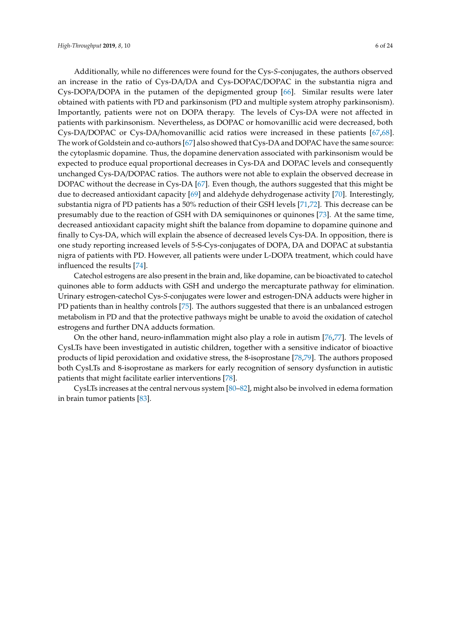Additionally, while no differences were found for the Cys-*S*-conjugates, the authors observed an increase in the ratio of Cys-DA/DA and Cys-DOPAC/DOPAC in the substantia nigra and Cys-DOPA/DOPA in the putamen of the depigmented group [\[66\]](#page-21-12). Similar results were later obtained with patients with PD and parkinsonism (PD and multiple system atrophy parkinsonism). Importantly, patients were not on DOPA therapy. The levels of Cys-DA were not affected in patients with parkinsonism. Nevertheless, as DOPAC or homovanillic acid were decreased, both Cys-DA/DOPAC or Cys-DA/homovanillic acid ratios were increased in these patients [\[67,](#page-21-13)[68\]](#page-21-14). The work of Goldstein and co-authors [\[67\]](#page-21-13) also showed that Cys-DA and DOPAC have the same source: the cytoplasmic dopamine. Thus, the dopamine denervation associated with parkinsonism would be expected to produce equal proportional decreases in Cys-DA and DOPAC levels and consequently unchanged Cys-DA/DOPAC ratios. The authors were not able to explain the observed decrease in DOPAC without the decrease in Cys-DA [\[67\]](#page-21-13). Even though, the authors suggested that this might be due to decreased antioxidant capacity [\[69\]](#page-21-15) and aldehyde dehydrogenase activity [\[70\]](#page-21-16). Interestingly, substantia nigra of PD patients has a 50% reduction of their GSH levels [\[71](#page-21-17)[,72\]](#page-22-0). This decrease can be presumably due to the reaction of GSH with DA semiquinones or quinones [\[73\]](#page-22-1). At the same time, decreased antioxidant capacity might shift the balance from dopamine to dopamine quinone and finally to Cys-DA, which will explain the absence of decreased levels Cys-DA. In opposition, there is one study reporting increased levels of 5-S-Cys-conjugates of DOPA, DA and DOPAC at substantia nigra of patients with PD. However, all patients were under L-DOPA treatment, which could have influenced the results [\[74\]](#page-22-2).

Catechol estrogens are also present in the brain and, like dopamine, can be bioactivated to catechol quinones able to form adducts with GSH and undergo the mercapturate pathway for elimination. Urinary estrogen-catechol Cys-*S*-conjugates were lower and estrogen-DNA adducts were higher in PD patients than in healthy controls [\[75\]](#page-22-3). The authors suggested that there is an unbalanced estrogen metabolism in PD and that the protective pathways might be unable to avoid the oxidation of catechol estrogens and further DNA adducts formation.

On the other hand, neuro-inflammation might also play a role in autism [\[76](#page-22-4)[,77\]](#page-22-5). The levels of CysLTs have been investigated in autistic children, together with a sensitive indicator of bioactive products of lipid peroxidation and oxidative stress, the 8-isoprostane [\[78,](#page-22-6)[79\]](#page-22-7). The authors proposed both CysLTs and 8-isoprostane as markers for early recognition of sensory dysfunction in autistic patients that might facilitate earlier interventions [\[78\]](#page-22-6).

CysLTs increases at the central nervous system [\[80–](#page-22-8)[82\]](#page-22-9), might also be involved in edema formation in brain tumor patients [\[83\]](#page-22-10).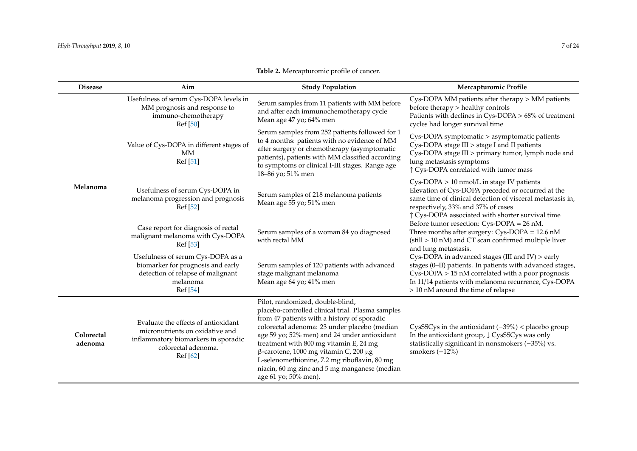|                |                                                                                                           | <b>Table 2.</b> Mercapturomic profile of cancer.                                                                                                                                                                                                                          |                                                                                                                                                                                                                         |
|----------------|-----------------------------------------------------------------------------------------------------------|---------------------------------------------------------------------------------------------------------------------------------------------------------------------------------------------------------------------------------------------------------------------------|-------------------------------------------------------------------------------------------------------------------------------------------------------------------------------------------------------------------------|
| <b>Disease</b> | Aim                                                                                                       | <b>Study Population</b>                                                                                                                                                                                                                                                   | Mercapturomic Profile                                                                                                                                                                                                   |
|                | Usefulness of serum Cys-DOPA levels in<br>MM prognosis and response to<br>immuno-chemotherapy<br>Ref [50] | Serum samples from 11 patients with MM before<br>and after each immunochemotherapy cycle<br>Mean age 47 yo; 64% men                                                                                                                                                       | Cys-DOPA MM patients after therapy > MM patients<br>before therapy > healthy controls<br>Patients with declines in $Cys-DOPA > 68%$ of treatment<br>cycles had longer survival time                                     |
|                | Value of Cys-DOPA in different stages of<br>МM<br>Ref [51]                                                | Serum samples from 252 patients followed for 1<br>to 4 months: patients with no evidence of MM<br>after surgery or chemotherapy (asymptomatic<br>patients), patients with MM classified according<br>to symptoms or clinical I-III stages. Range age<br>18–86 yo; 51% men | Cys-DOPA symptomatic > asymptomatic patients<br>Cys-DOPA stage III > stage I and II patients<br>Cys-DOPA stage III > primary tumor, lymph node and<br>lung metastasis symptoms<br>↑ Cys-DOPA correlated with tumor mass |
| Ielanoma       | Usefulness of serum Cys-DOPA in<br>melanoma progression and prognosis<br>$D \cdot C$ $F \cap T$           | Serum samples of 218 melanoma patients<br>Mean age 55 yo; 51% men                                                                                                                                                                                                         | $Cys-DOPA > 10$ nmol/L in stage IV patients<br>Elevation of Cys-DOPA preceded or occurred at the<br>same time of clinical detection of visceral metastasis in,<br>$1.270$ $1.270$ $1.270$                               |

| Melanoma              | Usefulness of serum Cys-DOPA in<br>melanoma progression and prognosis<br>Ref [52]                                                                | Serum samples of 218 melanoma patients<br>Mean age 55 yo; 51% men                                                                                                                                                                                                                                                                                                                                                                                   | $Cys-DOFA \ge 10$ funtor L in stage FV patients<br>Elevation of Cys-DOPA preceded or occurred at the<br>same time of clinical detection of visceral metastasis in,<br>respectively, 33% and 37% of cases<br>↑ Cys-DOPA associated with shorter survival time     |
|-----------------------|--------------------------------------------------------------------------------------------------------------------------------------------------|-----------------------------------------------------------------------------------------------------------------------------------------------------------------------------------------------------------------------------------------------------------------------------------------------------------------------------------------------------------------------------------------------------------------------------------------------------|------------------------------------------------------------------------------------------------------------------------------------------------------------------------------------------------------------------------------------------------------------------|
|                       | Case report for diagnosis of rectal<br>malignant melanoma with Cys-DOPA<br>Ref [53]                                                              | Serum samples of a woman 84 yo diagnosed<br>with rectal MM                                                                                                                                                                                                                                                                                                                                                                                          | Before tumor resection: $Cys-DOPA = 26$ nM.<br>Three months after surgery: Cys-DOPA = 12.6 nM<br>(still > 10 nM) and CT scan confirmed multiple liver<br>and lung metastasis.                                                                                    |
|                       | Usefulness of serum Cys-DOPA as a<br>biomarker for prognosis and early<br>detection of relapse of malignant<br>melanoma<br>Ref [54]              | Serum samples of 120 patients with advanced<br>stage malignant melanoma<br>Mean age 64 yo; 41% men                                                                                                                                                                                                                                                                                                                                                  | Cys-DOPA in advanced stages (III and IV) > early<br>stages (0-II) patients. In patients with advanced stages,<br>Cys-DOPA > 15 nM correlated with a poor prognosis<br>In 11/14 patients with melanoma recurrence, Cys-DOPA<br>> 10 nM around the time of relapse |
| Colorectal<br>adenoma | Evaluate the effects of antioxidant<br>micronutrients on oxidative and<br>inflammatory biomarkers in sporadic<br>colorectal adenoma.<br>Ref [62] | Pilot, randomized, double-blind,<br>placebo-controlled clinical trial. Plasma samples<br>from 47 patients with a history of sporadic<br>colorectal adenoma: 23 under placebo (median<br>age 59 yo; 52% men) and 24 under antioxidant<br>treatment with 800 mg vitamin E, 24 mg<br>$β$ -carotene, 1000 mg vitamin C, 200 μg<br>L-selenomethionine, 7.2 mg riboflavin, 80 mg<br>niacin, 60 mg zinc and 5 mg manganese (median<br>age 61 yo; 50% men). | CysSSCys in the antioxidant $(-39\%)$ < placebo group<br>In the antioxidant group, $\downarrow$ CysSSCys was only<br>statistically significant in nonsmokers $(-35%)$ vs.<br>smokers $(-12%)$                                                                    |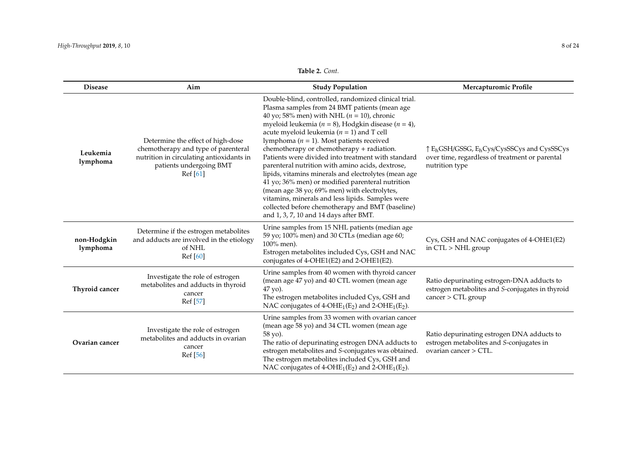# **Table 2.** *Cont.*

| <b>Disease</b>          | Aim                                                                                                                                                        | <b>Study Population</b>                                                                                                                                                                                                                                                                                                                                                                                                                                                                                                                                                                                                                                                                                                                                                                     | Mercapturomic Profile                                                                                                |
|-------------------------|------------------------------------------------------------------------------------------------------------------------------------------------------------|---------------------------------------------------------------------------------------------------------------------------------------------------------------------------------------------------------------------------------------------------------------------------------------------------------------------------------------------------------------------------------------------------------------------------------------------------------------------------------------------------------------------------------------------------------------------------------------------------------------------------------------------------------------------------------------------------------------------------------------------------------------------------------------------|----------------------------------------------------------------------------------------------------------------------|
| Leukemia<br>lymphoma    | Determine the effect of high-dose<br>chemotherapy and type of parenteral<br>nutrition in circulating antioxidants in<br>patients undergoing BMT<br>Ref[61] | Double-blind, controlled, randomized clinical trial.<br>Plasma samples from 24 BMT patients (mean age<br>40 yo; 58% men) with NHL ( $n = 10$ ), chronic<br>myeloid leukemia ( $n = 8$ ), Hodgkin disease ( $n = 4$ ),<br>acute myeloid leukemia ( $n = 1$ ) and T cell<br>lymphoma ( $n = 1$ ). Most patients received<br>chemotherapy or chemotherapy + radiation.<br>Patients were divided into treatment with standard<br>parenteral nutrition with amino acids, dextrose,<br>lipids, vitamins minerals and electrolytes (mean age<br>41 yo; 36% men) or modified parenteral nutrition<br>(mean age 38 yo; 69% men) with electrolytes,<br>vitamins, minerals and less lipids. Samples were<br>collected before chemotherapy and BMT (baseline)<br>and 1, 3, 7, 10 and 14 days after BMT. | ↑ EhGSH/GSSG, EhCys/CysSSCys and CysSSCys<br>over time, regardless of treatment or parental<br>nutrition type        |
| non-Hodgkin<br>lymphoma | Determine if the estrogen metabolites<br>and adducts are involved in the etiology<br>of NHL<br>Ref [60]                                                    | Urine samples from 15 NHL patients (median age<br>59 yo; 100% men) and 30 CTLs (median age 60;<br>100% men).<br>Estrogen metabolites included Cys, GSH and NAC<br>conjugates of 4-OHE1(E2) and 2-OHE1(E2).                                                                                                                                                                                                                                                                                                                                                                                                                                                                                                                                                                                  | Cys, GSH and NAC conjugates of 4-OHE1(E2)<br>in CTL > NHL group                                                      |
| Thyroid cancer          | Investigate the role of estrogen<br>metabolites and adducts in thyroid<br>cancer<br>Ref [57]                                                               | Urine samples from 40 women with thyroid cancer<br>(mean age 47 yo) and 40 CTL women (mean age<br>47 yo).<br>The estrogen metabolites included Cys, GSH and<br>NAC conjugates of $4-OHE_1(E_2)$ and $2-OHE_1(E_2)$ .                                                                                                                                                                                                                                                                                                                                                                                                                                                                                                                                                                        | Ratio depurinating estrogen-DNA adducts to<br>estrogen metabolites and S-conjugates in thyroid<br>cancer > CTL group |
| Ovarian cancer          | Investigate the role of estrogen<br>metabolites and adducts in ovarian<br>cancer<br>Ref [56]                                                               | Urine samples from 33 women with ovarian cancer<br>(mean age 58 yo) and 34 CTL women (mean age<br>58 yo).<br>The ratio of depurinating estrogen DNA adducts to<br>estrogen metabolites and S-conjugates was obtained.<br>The estrogen metabolites included Cys, GSH and<br>NAC conjugates of 4-OHE <sub>1</sub> (E <sub>2</sub> ) and 2-OHE <sub>1</sub> (E <sub>2</sub> ).                                                                                                                                                                                                                                                                                                                                                                                                                 | Ratio depurinating estrogen DNA adducts to<br>estrogen metabolites and S-conjugates in<br>ovarian cancer > CTL.      |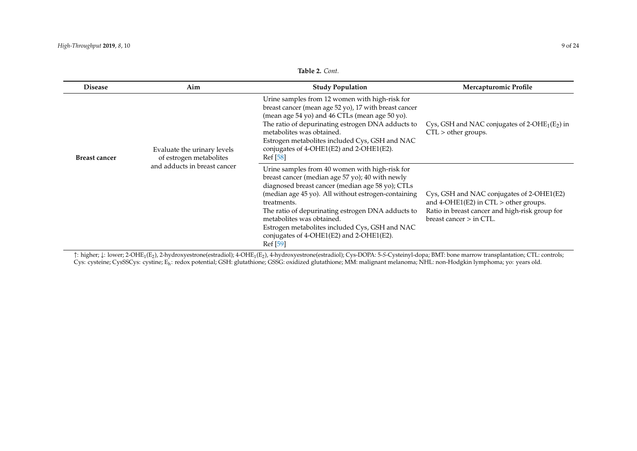| <b>Disease</b>       | Aim                                                    | <b>Study Population</b>                                                                                                                                                                                                                                                                                                                                                                                                 | <b>Mercapturomic Profile</b>                                                                                                                                           |
|----------------------|--------------------------------------------------------|-------------------------------------------------------------------------------------------------------------------------------------------------------------------------------------------------------------------------------------------------------------------------------------------------------------------------------------------------------------------------------------------------------------------------|------------------------------------------------------------------------------------------------------------------------------------------------------------------------|
| <b>Breast cancer</b> | Evaluate the urinary levels<br>of estrogen metabolites | Urine samples from 12 women with high-risk for<br>breast cancer (mean age 52 yo), 17 with breast cancer<br>(mean age 54 yo) and 46 CTLs (mean age 50 yo).<br>The ratio of depurinating estrogen DNA adducts to<br>metabolites was obtained.<br>Estrogen metabolites included Cys, GSH and NAC<br>conjugates of 4-OHE1(E2) and 2-OHE1(E2).<br>Ref [58]                                                                   | Cys, GSH and NAC conjugates of $2$ -OHE <sub>1</sub> (E <sub>2</sub> ) in<br>$CTL >$ other groups.                                                                     |
|                      | and adducts in breast cancer                           | Urine samples from 40 women with high-risk for<br>breast cancer (median age 57 yo); 40 with newly<br>diagnosed breast cancer (median age 58 yo); CTLs<br>(median age 45 yo). All without estrogen-containing<br>treatments.<br>The ratio of depurinating estrogen DNA adducts to<br>metabolites was obtained.<br>Estrogen metabolites included Cys, GSH and NAC<br>conjugates of 4-OHE1(E2) and 2-OHE1(E2).<br>Ref [59] | Cys, GSH and NAC conjugates of 2-OHE1(E2)<br>and $4$ -OHE1(E2) in CTL $>$ other groups.<br>Ratio in breast cancer and high-risk group for<br>breast cancer $>$ in CTL. |

<span id="page-8-0"></span>↑: higher; ↓: lower; 2-OHE1(E2), 2-hydroxyestrone(estradiol); 4-OHE1(E2), 4-hydroxyestrone(estradiol); Cys-DOPA: 5-*S*-Cysteinyl-dopa; BMT: bone marrow transplantation; CTL: controls; Cys: cysteine; CysSSCys: cystine; Eh: redox potential; GSH: glutathione; GSSG: oxidized glutathione; MM: malignant melanoma; NHL: non-Hodgkin lymphoma; yo: years old.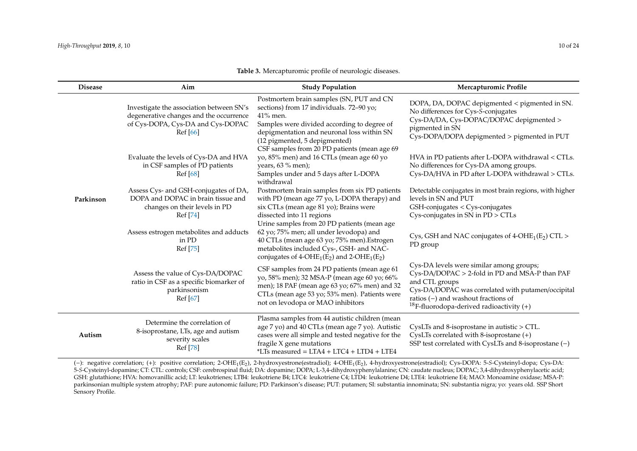<span id="page-9-0"></span> $\overline{\phantom{0}}$ 

| <b>Disease</b> | Aim                                                                                                                                  | <b>Study Population</b>                                                                                                                                                                                                                                                          | Mercapturomic Profile                                                                                                                                                                                                                                                 |
|----------------|--------------------------------------------------------------------------------------------------------------------------------------|----------------------------------------------------------------------------------------------------------------------------------------------------------------------------------------------------------------------------------------------------------------------------------|-----------------------------------------------------------------------------------------------------------------------------------------------------------------------------------------------------------------------------------------------------------------------|
| Parkinson      | Investigate the association between SN's<br>degenerative changes and the occurrence<br>of Cys-DOPA, Cys-DA and Cys-DOPAC<br>Ref [66] | Postmortem brain samples (SN, PUT and CN<br>sections) from 17 individuals. 72-90 yo;<br>41% men.<br>Samples were divided according to degree of<br>depigmentation and neuronal loss within SN<br>(12 pigmented, 5 depigmented)<br>CSF samples from 20 PD patients (mean age 69   | DOPA, DA, DOPAC depigmented < pigmented in SN.<br>No differences for Cys-S-conjugates<br>Cys-DA/DA, Cys-DOPAC/DOPAC depigmented ><br>pigmented in SN<br>Cys-DOPA/DOPA depigmented > pigmented in PUT                                                                  |
|                | Evaluate the levels of Cys-DA and HVA<br>in CSF samples of PD patients<br>Ref [68]                                                   | yo, 85% men) and 16 CTLs (mean age 60 yo<br>years, 63 % men);<br>Samples under and 5 days after L-DOPA<br>withdrawal                                                                                                                                                             | HVA in PD patients after L-DOPA withdrawal < CTLs.<br>No differences for Cys-DA among groups.<br>Cys-DA/HVA in PD after L-DOPA withdrawal > CTLs.                                                                                                                     |
|                | Assess Cys- and GSH-conjugates of DA,<br>DOPA and DOPAC in brain tissue and<br>changes on their levels in PD<br>Ref [74]             | Postmortem brain samples from six PD patients<br>with PD (mean age 77 yo, L-DOPA therapy) and<br>six CTLs (mean age 81 yo); Brains were<br>dissected into 11 regions                                                                                                             | Detectable conjugates in most brain regions, with higher<br>levels in SN and PUT<br>GSH-conjugates < Cys-conjugates<br>Cys-conjugates in SN in PD > CTLs                                                                                                              |
|                | Assess estrogen metabolites and adducts<br>in PD<br>Ref [75]                                                                         | Urine samples from 20 PD patients (mean age<br>62 yo; 75% men; all under levodopa) and<br>40 CTLs (mean age 63 yo; 75% men). Estrogen<br>metabolites included Cys-, GSH- and NAC-<br>conjugates of 4-OHE <sub>1</sub> (E <sub>2</sub> ) and 2-OHE <sub>1</sub> (E <sub>2</sub> ) | Cys, GSH and NAC conjugates of $4$ -OHE <sub>1</sub> (E <sub>2</sub> ) CTL ><br>PD group                                                                                                                                                                              |
|                | Assess the value of Cys-DA/DOPAC<br>ratio in CSF as a specific biomarker of<br>parkinsonism<br>Ref [67]                              | CSF samples from 24 PD patients (mean age 61<br>yo, 58% men); 32 MSA-P (mean age 60 yo; 66%<br>men); 18 PAF (mean age 63 yo; 67% men) and 32<br>CTLs (mean age 53 yo; 53% men). Patients were<br>not on levodopa or MAO inhibitors                                               | Cys-DA levels were similar among groups;<br>Cys-DA/DOPAC > 2-fold in PD and MSA-P than PAF<br>and CTL groups<br>Cys-DA/DOPAC was correlated with putamen/occipital<br>ratios $(-)$ and washout fractions of<br><sup>18</sup> F-fluorodopa-derived radioactivity $(+)$ |
| Autism         | Determine the correlation of<br>8-isoprostane, LTs, age and autism<br>severity scales<br>Ref [78]                                    | Plasma samples from 44 autistic children (mean<br>age 7 yo) and 40 CTLs (mean age 7 yo). Autistic<br>cases were all simple and tested negative for the<br>fragile X gene mutations<br>*LTs measured = LTA4 + LTC4 + LTD4 + LTE4                                                  | CysLTs and 8-isoprostane in autistic > CTL.<br>CysLTs correlated with 8-isoprostane (+)<br>SSP test correlated with CysLTs and 8-isoprostane $(-)$                                                                                                                    |

**Table 3.** Mercapturomic profile of neurologic diseases.

(−): negative correlation; (+): positive correlation; 2-OHE1(E2), 2-hydroxyestrone(estradiol); 4-OHE1(E2), 4-hydroxyestrone(estradiol); Cys-DOPA: 5-*S*-Cysteinyl-dopa; Cys-DA: 5-*S*-Cysteinyl-dopamine; CT: CTL: controls; CSF: cerebrospinal fluid; DA: dopamine; DOPA; L-3,4-dihydroxyphenylalanine; CN: caudate nucleus; DOPAC; 3,4-dihydroxyphenylacetic acid; GSH: glutathione; HVA: homovanillic acid; LT: leukotrienes; LTB4: leukotriene B4; LTC4: leukotriene C4; LTD4: leukotriene D4; LTE4: leukotriene E4; MAO: Monoamine oxidase; MSA-P: parkinsonian multiple system atrophy; PAF: pure autonomic failure; PD: Parkinson's disease; PUT: putamen; SI: substantia innominata; SN: substantia nigra; yo: years old. SSP Short Sensory Profile.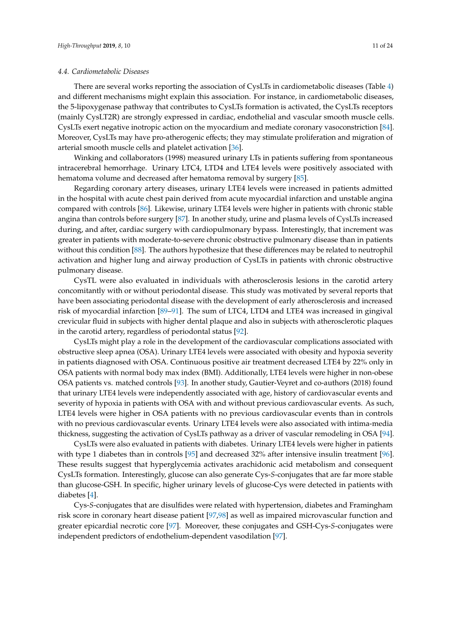### *4.4. Cardiometabolic Diseases*

There are several works reporting the association of CysLTs in cardiometabolic diseases (Table [4\)](#page-13-0) and different mechanisms might explain this association. For instance, in cardiometabolic diseases, the 5-lipoxygenase pathway that contributes to CysLTs formation is activated, the CysLTs receptors (mainly CysLT2R) are strongly expressed in cardiac, endothelial and vascular smooth muscle cells. CysLTs exert negative inotropic action on the myocardium and mediate coronary vasoconstriction [\[84\]](#page-22-14). Moreover, CysLTs may have pro-atherogenic effects; they may stimulate proliferation and migration of arterial smooth muscle cells and platelet activation [\[36\]](#page-20-6).

Winking and collaborators (1998) measured urinary LTs in patients suffering from spontaneous intracerebral hemorrhage. Urinary LTC4, LTD4 and LTE4 levels were positively associated with hematoma volume and decreased after hematoma removal by surgery [\[85\]](#page-22-15).

Regarding coronary artery diseases, urinary LTE4 levels were increased in patients admitted in the hospital with acute chest pain derived from acute myocardial infarction and unstable angina compared with controls [\[86\]](#page-22-16). Likewise, urinary LTE4 levels were higher in patients with chronic stable angina than controls before surgery [\[87\]](#page-22-17). In another study, urine and plasma levels of CysLTs increased during, and after, cardiac surgery with cardiopulmonary bypass. Interestingly, that increment was greater in patients with moderate-to-severe chronic obstructive pulmonary disease than in patients without this condition [\[88\]](#page-22-18). The authors hypothesize that these differences may be related to neutrophil activation and higher lung and airway production of CysLTs in patients with chronic obstructive pulmonary disease.

CysTL were also evaluated in individuals with atherosclerosis lesions in the carotid artery concomitantly with or without periodontal disease. This study was motivated by several reports that have been associating periodontal disease with the development of early atherosclerosis and increased risk of myocardial infarction [\[89–](#page-22-19)[91\]](#page-22-20). The sum of LTC4, LTD4 and LTE4 was increased in gingival crevicular fluid in subjects with higher dental plaque and also in subjects with atherosclerotic plaques in the carotid artery, regardless of periodontal status [\[92\]](#page-22-21).

CysLTs might play a role in the development of the cardiovascular complications associated with obstructive sleep apnea (OSA). Urinary LTE4 levels were associated with obesity and hypoxia severity in patients diagnosed with OSA. Continuous positive air treatment decreased LTE4 by 22% only in OSA patients with normal body max index (BMI). Additionally, LTE4 levels were higher in non-obese OSA patients vs. matched controls [\[93\]](#page-22-22). In another study, Gautier-Veyret and co-authors (2018) found that urinary LTE4 levels were independently associated with age, history of cardiovascular events and severity of hypoxia in patients with OSA with and without previous cardiovascular events. As such, LTE4 levels were higher in OSA patients with no previous cardiovascular events than in controls with no previous cardiovascular events. Urinary LTE4 levels were also associated with intima-media thickness, suggesting the activation of CysLTs pathway as a driver of vascular remodeling in OSA [\[94\]](#page-23-0).

CysLTs were also evaluated in patients with diabetes. Urinary LTE4 levels were higher in patients with type 1 diabetes than in controls [\[95\]](#page-23-1) and decreased 32% after intensive insulin treatment [\[96\]](#page-23-2). These results suggest that hyperglycemia activates arachidonic acid metabolism and consequent CysLTs formation. Interestingly, glucose can also generate Cys-*S*-conjugates that are far more stable than glucose-GSH. In specific, higher urinary levels of glucose-Cys were detected in patients with diabetes [\[4\]](#page-18-4).

Cys-*S*-conjugates that are disulfides were related with hypertension, diabetes and Framingham risk score in coronary heart disease patient [\[97](#page-23-3)[,98\]](#page-23-4) as well as impaired microvascular function and greater epicardial necrotic core [\[97\]](#page-23-3). Moreover, these conjugates and GSH-Cys-*S*-conjugates were independent predictors of endothelium-dependent vasodilation [\[97\]](#page-23-3).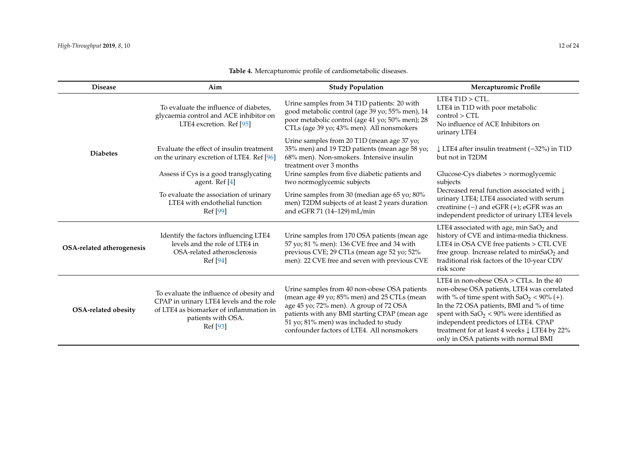| <b>Disease</b>            | Aim                                                                                                                                                               | <b>Study Population</b>                                                                                                                                                                                                                                                       | Mercapturomic Profile                                                                                                                                                                                                                                                                                                                                                 |
|---------------------------|-------------------------------------------------------------------------------------------------------------------------------------------------------------------|-------------------------------------------------------------------------------------------------------------------------------------------------------------------------------------------------------------------------------------------------------------------------------|-----------------------------------------------------------------------------------------------------------------------------------------------------------------------------------------------------------------------------------------------------------------------------------------------------------------------------------------------------------------------|
|                           | To evaluate the influence of diabetes,<br>glycaemia control and ACE inhibitor on<br>LTE4 excretion. Ref [95]                                                      | Urine samples from 34 T1D patients: 20 with<br>good metabolic control (age 39 yo; 55% men), 14<br>poor metabolic control (age 41 yo; 50% men); 28<br>CTLs (age 39 yo; 43% men). All nonsmokers                                                                                | LTE4 T1D > CTL.<br>LTE4 in T1D with poor metabolic<br>control > CTL<br>No influence of ACE Inhibitors on<br>urinary LTE4                                                                                                                                                                                                                                              |
| <b>Diabetes</b>           | Evaluate the effect of insulin treatment<br>on the urinary excretion of LTE4. Ref [96]                                                                            | Urine samples from 20 T1D (mean age 37 yo;<br>35% men) and 19 T2D patients (mean age 58 yo;<br>68% men). Non-smokers. Intensive insulin<br>treatment over 3 months                                                                                                            | $\downarrow$ LTE4 after insulin treatment (-32%) in T1D<br>but not in T2DM                                                                                                                                                                                                                                                                                            |
|                           | Assess if Cys is a good transglycating<br>agent. Ref [4]                                                                                                          | Urine samples from five diabetic patients and<br>two normoglycemic subjects                                                                                                                                                                                                   | $Glucose-Cys diabetes > normoglycermic$<br>subjects                                                                                                                                                                                                                                                                                                                   |
|                           | To evaluate the association of urinary<br>LTE4 with endothelial function<br>Ref [99]                                                                              | Urine samples from 30 (median age 65 yo; 80%<br>men) T2DM subjects of at least 2 years duration<br>and eGFR 71 (14-129) mL/min                                                                                                                                                | Decreased renal function associated with $\downarrow$<br>urinary LTE4; LTE4 associated with serum<br>creatinine $(-)$ and eGFR $(+)$ ; eGFR was an<br>independent predictor of urinary LTE4 levels                                                                                                                                                                    |
| OSA-related atherogenesis | Identify the factors influencing LTE4<br>levels and the role of LTE4 in<br>OSA-related atherosclerosis<br>Ref [94]                                                | Urine samples from 170 OSA patients (mean age<br>57 yo; 81 % men): 136 CVE free and 34 with<br>previous CVE; 29 CTLs (mean age 52 yo; 52%<br>men): 22 CVE free and seven with previous CVE                                                                                    | LTE4 associated with age, $min$ Sa $O2$ and<br>history of CVE and intima-media thickness.<br>LTE4 in OSA CVE free patients > CTL CVE<br>free group. Increase related to $minSaO2$ and<br>traditional risk factors of the 10-year CDV<br>risk score                                                                                                                    |
| OSA-related obesity       | To evaluate the influence of obesity and<br>CPAP in urinary LTE4 levels and the role<br>of LTE4 as biomarker of inflammation in<br>patients with OSA.<br>Ref [93] | Urine samples from 40 non-obese OSA patients<br>(mean age 49 yo; 85% men) and 25 CTLs (mean<br>age 45 yo; 72% men). A group of 72 OSA<br>patients with any BMI starting CPAP (mean age<br>51 yo; 81% men) was included to study<br>confounder factors of LTE4. All nonsmokers | LTE4 in non-obese $OSA > CTLs$ . In the 40<br>non-obese OSA patients, LTE4 was correlated<br>with % of time spent with $SaO_2 < 90\%$ (+).<br>In the 72 OSA patients, BMI and % of time<br>spent with $SaO2 < 90%$ were identified as<br>independent predictors of LTE4. CPAP<br>treatment for at least 4 weeks ↓ LTE4 by 22%<br>only in OSA patients with normal BMI |

# **Table 4.** Mercapturomic profile of cardiometabolic diseases.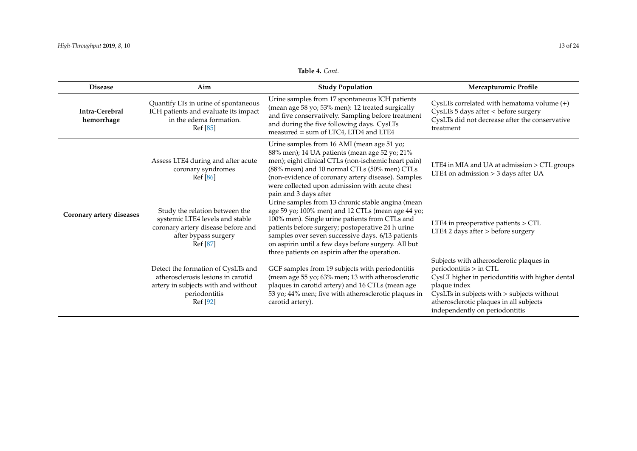# **Table 4.** *Cont.*

| <b>Disease</b>               | Aim                                                                                                                                          | <b>Study Population</b>                                                                                                                                                                                                                                                                                                                                                     | Mercapturomic Profile                                                                                                                                                                                                                                             |
|------------------------------|----------------------------------------------------------------------------------------------------------------------------------------------|-----------------------------------------------------------------------------------------------------------------------------------------------------------------------------------------------------------------------------------------------------------------------------------------------------------------------------------------------------------------------------|-------------------------------------------------------------------------------------------------------------------------------------------------------------------------------------------------------------------------------------------------------------------|
| Intra-Cerebral<br>hemorrhage | Quantify LTs in urine of spontaneous<br>ICH patients and evaluate its impact<br>in the edema formation.<br>Ref [85]                          | Urine samples from 17 spontaneous ICH patients<br>(mean age 58 yo; 53% men): 12 treated surgically<br>and five conservatively. Sampling before treatment<br>and during the five following days. CysLTs<br>measured = sum of LTC4, LTD4 and LTE4                                                                                                                             | CysLTs correlated with hematoma volume $(+)$<br>CysLTs 5 days after < before surgery<br>CysLTs did not decrease after the conservative<br>treatment                                                                                                               |
|                              | Assess LTE4 during and after acute<br>coronary syndromes<br>Ref [86]                                                                         | Urine samples from 16 AMI (mean age 51 yo;<br>88% men); 14 UA patients (mean age 52 yo; 21%<br>men); eight clinical CTLs (non-ischemic heart pain)<br>(88% mean) and 10 normal CTLs (50% men) CTLs<br>(non-evidence of coronary artery disease). Samples<br>were collected upon admission with acute chest<br>pain and 3 days after                                         | LTE4 in MIA and UA at admission > CTL groups<br>LTE4 on admission > 3 days after UA                                                                                                                                                                               |
| Coronary artery diseases     | Study the relation between the<br>systemic LTE4 levels and stable<br>coronary artery disease before and<br>after bypass surgery<br>Ref [87]  | Urine samples from 13 chronic stable angina (mean<br>age 59 yo; 100% men) and 12 CTLs (mean age 44 yo;<br>100% men). Single urine patients from CTLs and<br>patients before surgery; postoperative 24 h urine<br>samples over seven successive days. 6/13 patients<br>on aspirin until a few days before surgery. All but<br>three patients on aspirin after the operation. | LTE4 in preoperative patients > CTL<br>LTE4 2 days after > before surgery                                                                                                                                                                                         |
|                              | Detect the formation of CysLTs and<br>atherosclerosis lesions in carotid<br>artery in subjects with and without<br>periodontitis<br>Ref [92] | GCF samples from 19 subjects with periodontitis<br>(mean age 55 yo; 63% men; 13 with atherosclerotic<br>plaques in carotid artery) and 16 CTLs (mean age<br>53 yo; 44% men; five with atherosclerotic plaques in<br>carotid artery).                                                                                                                                        | Subjects with atherosclerotic plaques in<br>periodontitis > in CTL<br>CysLT higher in periodontitis with higher dental<br>plaque index<br>CysLTs in subjects with > subjects without<br>atherosclerotic plaques in all subjects<br>independently on periodontitis |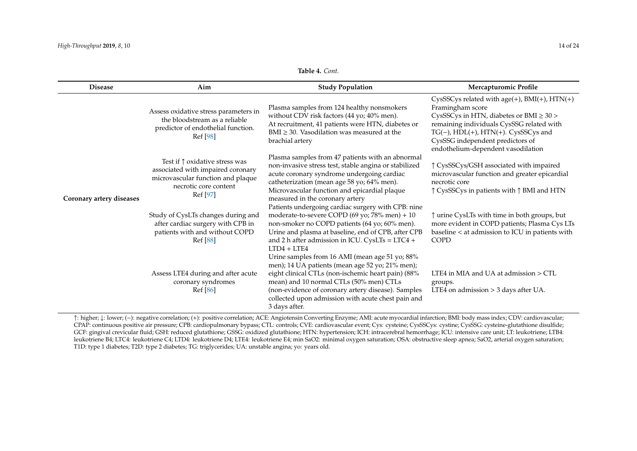#### **Table 4.** *Cont.*

| <b>Disease</b>           | Aim                                                                                                                                                    | <b>Study Population</b>                                                                                                                                                                                                                                                                                                             | Mercapturomic Profile                                                                                                                                                                                                                                                               |
|--------------------------|--------------------------------------------------------------------------------------------------------------------------------------------------------|-------------------------------------------------------------------------------------------------------------------------------------------------------------------------------------------------------------------------------------------------------------------------------------------------------------------------------------|-------------------------------------------------------------------------------------------------------------------------------------------------------------------------------------------------------------------------------------------------------------------------------------|
|                          | Assess oxidative stress parameters in<br>the bloodstream as a reliable<br>predictor of endothelial function.<br>Ref [98]                               | Plasma samples from 124 healthy nonsmokers<br>without CDV risk factors (44 yo; 40% men).<br>At recruitment, 41 patients were HTN, diabetes or<br>$BMI \geq 30$ . Vasodilation was measured at the<br>brachial artery                                                                                                                | CysSSCys related with age(+), $BMI(+)$ , $HTN(+)$<br>Framingham score<br>CysSSCys in HTN, diabetes or BMI $\geq 30$ ><br>remaining individuals CysSSG related with<br>TG(-), HDL(+), HTN(+). CysSSCys and<br>CysSSG independent predictors of<br>endothelium-dependent vasodilation |
| Coronary artery diseases | Test if $\uparrow$ oxidative stress was<br>associated with impaired coronary<br>microvascular function and plaque<br>necrotic core content<br>Ref [97] | Plasma samples from 47 patients with an abnormal<br>non-invasive stress test, stable angina or stabilized<br>acute coronary syndrome undergoing cardiac<br>catheterization (mean age 58 yo; 64% men).<br>Microvascular function and epicardial plaque<br>measured in the coronary artery                                            | ↑ CysSSCys/GSH associated with impaired<br>microvascular function and greater epicardial<br>necrotic core<br>↑ CysSSCys in patients with ↑ BMI and HTN                                                                                                                              |
|                          | Study of CysLTs changes during and<br>after cardiac surgery with CPB in<br>patients with and without COPD<br>Ref [88]                                  | Patients undergoing cardiac surgery with CPB: nine<br>moderate-to-severe COPD (69 yo; 78% men) + 10<br>non-smoker no COPD patients (64 yo; 60% men).<br>Urine and plasma at baseline, end of CPB, after CPB<br>and 2 h after admission in ICU. CysLTs = $LTC4 +$<br>$ITD4 + ITE4$<br>Urine samples from 16 AMI (mean age 51 yo; 88% | ↑ urine CysLTs with time in both groups, but<br>more evident in COPD patients; Plasma Cys LTs<br>baseline < at admission to ICU in patients with<br><b>COPD</b>                                                                                                                     |
|                          | Assess LTE4 during and after acute<br>coronary syndromes<br>Ref [86]                                                                                   | men); 14 UA patients (mean age 52 yo; 21% men);<br>eight clinical CTLs (non-ischemic heart pain) (88%<br>mean) and 10 normal CTLs (50% men) CTLs<br>(non-evidence of coronary artery disease). Samples<br>collected upon admission with acute chest pain and<br>3 days after.                                                       | LTE4 in MIA and UA at admission > CTL<br>groups.<br>LTE4 on admission $>$ 3 days after UA.                                                                                                                                                                                          |

<span id="page-13-0"></span>↑: higher; ↓: lower; (−): negative correlation; (+): positive correlation; ACE: Angiotensin Converting Enzyme; AMI: acute myocardial infarction; BMI: body mass index; CDV: cardiovascular; CPAP: continuous positive air pressure; CPB: cardiopulmonary bypass; CTL: controls; CVE: cardiovascular event; Cys: cysteine; CysSSCys: cystine; CysSSG: cysteine-glutathione disulfide; GCF: gingival crevicular fluid; GSH: reduced glutathione; GSSG: oxidized glutathione; HTN: hypertension; ICH: intracerebral hemorrhage; ICU: intensive care unit; LT: leukotriene; LTB4: leukotriene B4; LTC4: leukotriene C4; LTD4: leukotriene D4; LTE4: leukotriene E4; min SaO2: minimal oxygen saturation; OSA: obstructive sleep apnea; SaO2, arterial oxygen saturation; T1D: type 1 diabetes; T2D: type 2 diabetes; TG: triglycerides; UA: unstable angina; yo: years old.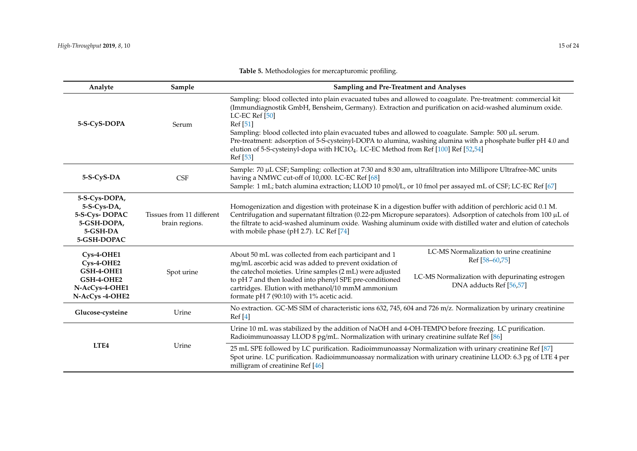| Analyte                                                                                    | Sample                                      | Sampling and Pre-Treatment and Analyses                                                                                                                                                                                                                                                                                                                                                                                                                                                                                                                                                     |  |
|--------------------------------------------------------------------------------------------|---------------------------------------------|---------------------------------------------------------------------------------------------------------------------------------------------------------------------------------------------------------------------------------------------------------------------------------------------------------------------------------------------------------------------------------------------------------------------------------------------------------------------------------------------------------------------------------------------------------------------------------------------|--|
| 5-S-CyS-DOPA                                                                               | Serum                                       | Sampling: blood collected into plain evacuated tubes and allowed to coagulate. Pre-treatment: commercial kit<br>(Immundiagnostik GmbH, Bensheim, Germany). Extraction and purification on acid-washed aluminum oxide.<br>LC-EC Ref [50]<br>Ref [51]<br>Sampling: blood collected into plain evacuated tubes and allowed to coagulate. Sample: 500 µL serum.<br>Pre-treatment: adsorption of 5-S-cysteinyl-DOPA to alumina, washing alumina with a phosphate buffer pH 4.0 and<br>elution of 5-S-cysteinyl-dopa with HC1O <sub>4</sub> . LC-EC Method from Ref [100] Ref [52,54]<br>Ref [53] |  |
| 5-S-CyS-DA                                                                                 | <b>CSF</b>                                  | Sample: 70 µL CSF; Sampling: collection at 7:30 and 8:30 am, ultrafiltration into Millipore Ultrafree-MC units<br>having a NMWC cut-off of 10,000. LC-EC Ref [68]<br>Sample: 1 mL; batch alumina extraction; LLOD 10 pmol/L, or 10 fmol per assayed mL of CSF; LC-EC Ref [67]                                                                                                                                                                                                                                                                                                               |  |
| 5-S-Cys-DOPA,<br>5-S-Cys-DA,<br>5-S-Cys-DOPAC<br>5-GSH-DOPA,<br>5-GSH-DA<br>5-GSH-DOPAC    | Tissues from 11 different<br>brain regions. | Homogenization and digestion with proteinase K in a digestion buffer with addition of perchloric acid 0.1 M.<br>Centrifugation and supernatant filtration (0.22-pm Micropure separators). Adsorption of catechols from 100 µL of<br>the filtrate to acid-washed aluminum oxide. Washing aluminum oxide with distilled water and elution of catechols<br>with mobile phase (pH 2.7). LC Ref [74]                                                                                                                                                                                             |  |
| Cys-4-OHE1<br>$Cys-4-OHE2$<br>GSH-4-OHE1<br>GSH-4-OHE2<br>N-AcCys-4-OHE1<br>N-AcCys-4-OHE2 | Spot urine                                  | LC-MS Normalization to urine creatinine<br>About 50 mL was collected from each participant and 1<br>Ref [58-60,75]<br>mg/mL ascorbic acid was added to prevent oxidation of<br>the catechol moieties. Urine samples (2 mL) were adjusted<br>LC-MS Normalization with depurinating estrogen<br>to pH 7 and then loaded into phenyl SPE pre-conditioned<br>DNA adducts Ref [56,57]<br>cartridges. Elution with methanol/10 mmM ammonium<br>formate pH 7 (90:10) with 1% acetic acid.                                                                                                          |  |
| Glucose-cysteine                                                                           | Urine                                       | No extraction. GC-MS SIM of characteristic ions 632, 745, 604 and 726 m/z. Normalization by urinary creatinine<br>Ref[4]                                                                                                                                                                                                                                                                                                                                                                                                                                                                    |  |
| LTE <sub>4</sub>                                                                           |                                             | Urine 10 mL was stabilized by the addition of NaOH and 4-OH-TEMPO before freezing. LC purification.<br>Radioimmunoassay LLOD 8 pg/mL. Normalization with urinary creatinine sulfate Ref [86]                                                                                                                                                                                                                                                                                                                                                                                                |  |
|                                                                                            | Urine                                       | 25 mL SPE followed by LC purification. Radioimmunoassay Normalization with urinary creatinine Ref [87]<br>Spot urine. LC purification. Radioimmunoassay normalization with urinary creatinine LLOD: 6.3 pg of LTE 4 per<br>milligram of creatinine Ref [46]                                                                                                                                                                                                                                                                                                                                 |  |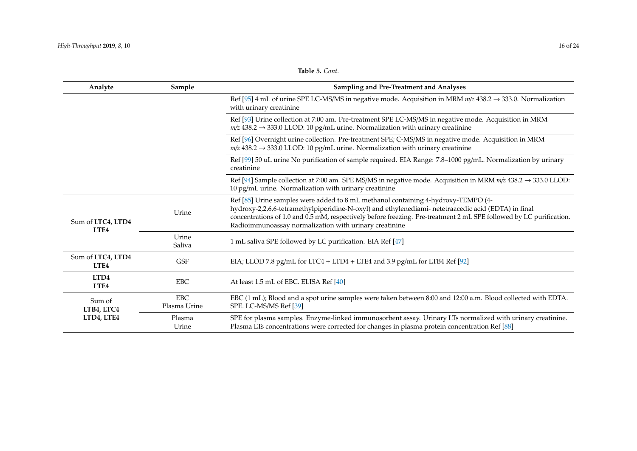**Table 5.** *Cont.*

| Analyte                               | Sample                     | Sampling and Pre-Treatment and Analyses                                                                                                                                                                                                                                                                                                                                   |
|---------------------------------------|----------------------------|---------------------------------------------------------------------------------------------------------------------------------------------------------------------------------------------------------------------------------------------------------------------------------------------------------------------------------------------------------------------------|
|                                       |                            | Ref [95] 4 mL of urine SPE LC-MS/MS in negative mode. Acquisition in MRM $m/z$ 438.2 $\rightarrow$ 333.0. Normalization<br>with urinary creatinine                                                                                                                                                                                                                        |
|                                       |                            | Ref [93] Urine collection at 7:00 am. Pre-treatment SPE LC-MS/MS in negative mode. Acquisition in MRM<br>$m/z$ 438.2 $\rightarrow$ 333.0 LLOD: 10 pg/mL urine. Normalization with urinary creatinine                                                                                                                                                                      |
|                                       |                            | Ref [96] Overnight urine collection. Pre-treatment SPE; C-MS/MS in negative mode. Acquisition in MRM<br>$m/z$ 438.2 $\rightarrow$ 333.0 LLOD: 10 pg/mL urine. Normalization with urinary creatinine                                                                                                                                                                       |
|                                       |                            | Ref [99] 50 uL urine No purification of sample required. EIA Range: 7.8–1000 pg/mL. Normalization by urinary<br>creatinine                                                                                                                                                                                                                                                |
|                                       |                            | Ref [94] Sample collection at 7:00 am. SPE MS/MS in negative mode. Acquisition in MRM $m/z$ 438.2 $\rightarrow$ 333.0 LLOD:<br>10 pg/mL urine. Normalization with urinary creatinine                                                                                                                                                                                      |
| Sum of LTC4, LTD4<br>LTE <sub>4</sub> | Urine                      | Ref [85] Urine samples were added to 8 mL methanol containing 4-hydroxy-TEMPO (4-<br>hydroxy-2,2,6,6-tetramethylpiperidine-N-oxyl) and ethylenediami- netetraacedic acid (EDTA) in final<br>concentrations of 1.0 and 0.5 mM, respectively before freezing. Pre-treatment 2 mL SPE followed by LC purification.<br>Radioimmunoassay normalization with urinary creatinine |
|                                       | Urine<br>Saliva            | 1 mL saliva SPE followed by LC purification. EIA Ref [47]                                                                                                                                                                                                                                                                                                                 |
| Sum of LTC4, LTD4<br>LTE4             | <b>GSF</b>                 | EIA; LLOD 7.8 pg/mL for LTC4 + LTD4 + LTE4 and 3.9 pg/mL for LTB4 Ref [92]                                                                                                                                                                                                                                                                                                |
| LTD4<br>LTE4                          | <b>EBC</b>                 | At least 1.5 mL of EBC. ELISA Ref [40]                                                                                                                                                                                                                                                                                                                                    |
| Sum of<br>LTB4, LTC4                  | <b>EBC</b><br>Plasma Urine | EBC (1 mL); Blood and a spot urine samples were taken between 8:00 and 12:00 a.m. Blood collected with EDTA.<br>SPE. LC-MS/MS Ref [39]                                                                                                                                                                                                                                    |
| LTD4, LTE4                            | Plasma<br>Urine            | SPE for plasma samples. Enzyme-linked immunosorbent assay. Urinary LTs normalized with urinary creatinine.<br>Plasma LTs concentrations were corrected for changes in plasma protein concentration Ref [88]                                                                                                                                                               |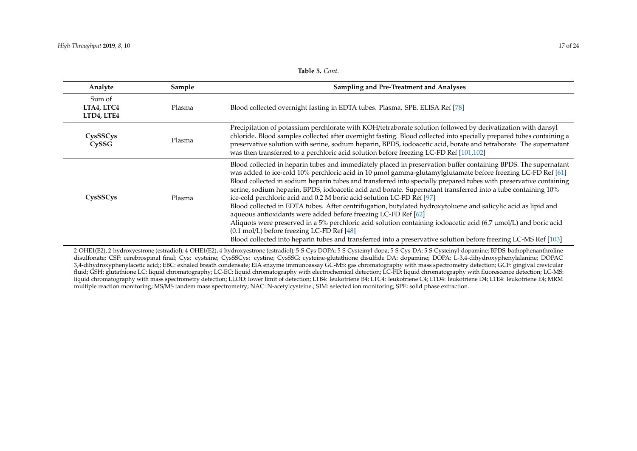#### **Table 5.** *Cont.*

| Analyte                            | Sample | Sampling and Pre-Treatment and Analyses                                                                                                                                                                                                                                                                                                                                                                                                                                                                                                                                                                                                                                                                                                                                                                                                                                                                                                                                                                                   |
|------------------------------------|--------|---------------------------------------------------------------------------------------------------------------------------------------------------------------------------------------------------------------------------------------------------------------------------------------------------------------------------------------------------------------------------------------------------------------------------------------------------------------------------------------------------------------------------------------------------------------------------------------------------------------------------------------------------------------------------------------------------------------------------------------------------------------------------------------------------------------------------------------------------------------------------------------------------------------------------------------------------------------------------------------------------------------------------|
| Sum of<br>LTA4, LTC4<br>LTD4, LTE4 | Plasma | Blood collected overnight fasting in EDTA tubes. Plasma. SPE. ELISA Ref [78]                                                                                                                                                                                                                                                                                                                                                                                                                                                                                                                                                                                                                                                                                                                                                                                                                                                                                                                                              |
| CysSSCys<br>CySSG                  | Plasma | Precipitation of potassium perchlorate with KOH/tetraborate solution followed by derivatization with dansyl<br>chloride. Blood samples collected after overnight fasting. Blood collected into specially prepared tubes containing a<br>preservative solution with serine, sodium heparin, BPDS, iodoacetic acid, borate and tetraborate. The supernatant<br>was then transferred to a perchloric acid solution before freezing LC-FD Ref [101,102]                                                                                                                                                                                                                                                                                                                                                                                                                                                                                                                                                                       |
| CysSSCys                           | Plasma | Blood collected in heparin tubes and immediately placed in preservation buffer containing BPDS. The supernatant<br>was added to ice-cold 10% perchloric acid in 10 μmol gamma-glutamylglutamate before freezing LC-FD Ref [61]<br>Blood collected in sodium heparin tubes and transferred into specially prepared tubes with preservative containing<br>serine, sodium heparin, BPDS, iodoacetic acid and borate. Supernatant transferred into a tube containing 10%<br>ice-cold perchloric acid and 0.2 M boric acid solution LC-FD Ref [97]<br>Blood collected in EDTA tubes. After centrifugation, butylated hydroxytoluene and salicylic acid as lipid and<br>aqueous antioxidants were added before freezing LC-FD Ref [62]<br>Aliquots were preserved in a 5% perchloric acid solution containing iodoacetic acid (6.7 $\mu$ mol/L) and boric acid<br>(0.1 mol/L) before freezing LC-FD Ref [48]<br>Blood collected into heparin tubes and transferred into a preservative solution before freezing LC-MS Ref [103] |

<span id="page-16-0"></span>2-OHE1(E2), 2-hydroxyestrone (estradiol); 4-OHE1(E2), 4-hydroxyestrone (estradiol); 5-S-Cys-DOPA: 5-S-Cysteinyl-dopa; 5-S-Cys-DA: 5-S-Cysteinyl-dopamine; BPDS: bathophenanthroline disulfonate; CSF: cerebrospinal final; Cys: cysteine; CysSSCys: cystine; CysSSG: cysteine-glutathione disulfide DA: dopamine; DOPA: L-3,4-dihydroxyphenylalanine; DOPAC 3,4-dihydroxyphenylacetic acid;; EBC: exhaled breath condensate; EIA enzyme immunoassay GC-MS: gas chromatography with mass spectrometry detection; GCF: gingival crevicular fluid; GSH: glutathione LC: liquid chromatography; LC-EC: liquid chromatography with electrochemical detection; LC-FD: liquid chromatography with fluorescence detection; LC-MS: liquid chromatography with mass spectrometry detection; LLOD: lower limit of detection; LTB4: leukotriene B4; LTC4: leukotriene C4; LTD4: leukotriene D4; LTE4: leukotriene E4; MRM multiple reaction monitoring; MS/MS tandem mass spectrometry; NAC: N-acetylcysteine.; SIM: selected ion monitoring; SPE: solid phase extraction.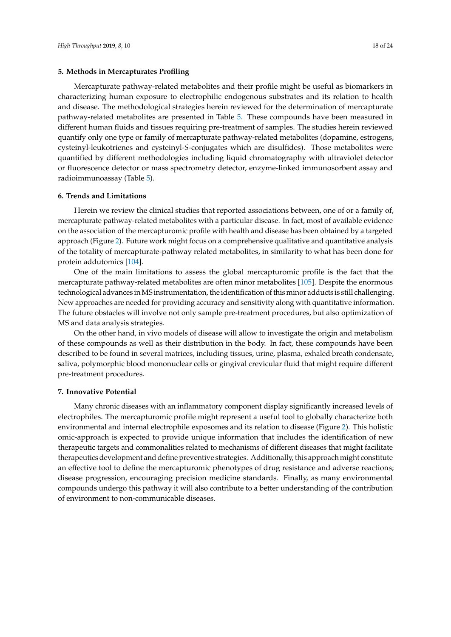# **5. Methods in Mercapturates Profiling**

Mercapturate pathway-related metabolites and their profile might be useful as biomarkers in characterizing human exposure to electrophilic endogenous substrates and its relation to health and disease. The methodological strategies herein reviewed for the determination of mercapturate pathway-related metabolites are presented in Table [5.](#page-16-0) These compounds have been measured in different human fluids and tissues requiring pre-treatment of samples. The studies herein reviewed quantify only one type or family of mercapturate pathway-related metabolites (dopamine, estrogens, cysteinyl-leukotrienes and cysteinyl-*S*-conjugates which are disulfides). Those metabolites were quantified by different methodologies including liquid chromatography with ultraviolet detector or fluorescence detector or mass spectrometry detector, enzyme-linked immunosorbent assay and radioimmunoassay (Table [5\)](#page-16-0).

# **6. Trends and Limitations**

Herein we review the clinical studies that reported associations between, one of or a family of, mercapturate pathway-related metabolites with a particular disease. In fact, most of available evidence on the association of the mercapturomic profile with health and disease has been obtained by a targeted approach (Figure [2\)](#page-18-8). Future work might focus on a comprehensive qualitative and quantitative analysis of the totality of mercapturate-pathway related metabolites, in similarity to what has been done for protein addutomics [\[104\]](#page-23-15).

One of the main limitations to assess the global mercapturomic profile is the fact that the mercapturate pathway-related metabolites are often minor metabolites [\[105\]](#page-23-16). Despite the enormous technological advances inMS instrumentation, the identification of this minor adducts is still challenging. New approaches are needed for providing accuracy and sensitivity along with quantitative information. The future obstacles will involve not only sample pre-treatment procedures, but also optimization of MS and data analysis strategies.

On the other hand, in vivo models of disease will allow to investigate the origin and metabolism of these compounds as well as their distribution in the body. In fact, these compounds have been described to be found in several matrices, including tissues, urine, plasma, exhaled breath condensate, saliva, polymorphic blood mononuclear cells or gingival crevicular fluid that might require different pre-treatment procedures.

# **7. Innovative Potential**

Many chronic diseases with an inflammatory component display significantly increased levels of electrophiles. The mercapturomic profile might represent a useful tool to globally characterize both environmental and internal electrophile exposomes and its relation to disease (Figure [2\)](#page-18-8). This holistic omic-approach is expected to provide unique information that includes the identification of new therapeutic targets and commonalities related to mechanisms of different diseases that might facilitate therapeutics development and define preventive strategies. Additionally, this approach might constitute an effective tool to define the mercapturomic phenotypes of drug resistance and adverse reactions; disease progression, encouraging precision medicine standards. Finally, as many environmental compounds undergo this pathway it will also contribute to a better understanding of the contribution of environment to non-communicable diseases.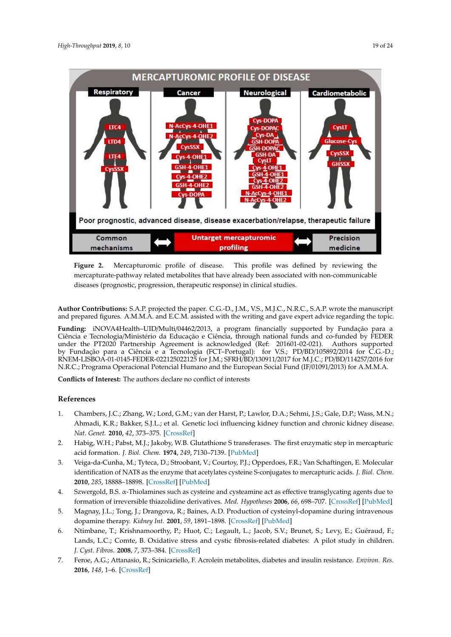<span id="page-18-8"></span>

Figure 2. Mercapturomic profile of disease. This profile was defined by reviewing the mercapturate-pathway related metabolites that have already been associated with non-communicable (prognostic, progression, therapeutic response) in clinical studies. diseases (prognostic, progression, therapeutic response) in clinical studies.

<span id="page-18-7"></span>**Author Contributions:** S.A.P. projected the paper. C.G.-D., J.M., V.S., M.J.C., N.R.C., S.A.P. wrote the manuscript and prepared figures. A.M.M.A. and E.C.M. assisted with the writing and gave expert advice regarding the topic.

Ciência e Tecnologia/Ministério da Educação e Ciência, through national funds and co-funded by FEDER under the PT2020 Partnership Agreement is acknowledged (Ref: 201601-02-021). Authors supported<br>under the PT2020 Partnership Agreement is acknowledged (Ref: 201601-02-021). Authors supported FEDER under the PT2020 Partnership Agreement is acknowledged (Ref: 201601-02-021). Authors RNEM-LISBOA-01-0145-FEDER-022125022125 for J.M.; SFRH/BD/130911/2017 for M.J.C.; PD/BD/114257/2016 for N.R.C.; Programa Operacional Potencial Humano and the European Social Fund (IF/01091/2013) for A.M.M.A. **Funding:** iNOVA4Health–UID/Multi/04462/2013, a program financially supported by Fundação para a by Fundação para a Ciência e a Tecnologia (FCT–Portugal): for V.S.; PD/BD/105892/2014 for C.G.-D.;

 $f_{\rm tot}$   $f_{\rm H}$   $f_{\rm H}$   $f_{\rm H}$   $f_{\rm H}$   $f_{\rm H}$   $f_{\rm H}$   $f_{\rm H}$   $f_{\rm H}$   $f_{\rm H}$   $f_{\rm H}$   $f_{\rm H}$   $f_{\rm H}$   $f_{\rm H}$   $f_{\rm H}$   $f_{\rm H}$   $f_{\rm H}$   $f_{\rm H}$   $f_{\rm H}$   $f_{\rm H}$   $f_{\rm H}$   $f_{\rm H}$   $f_{\rm H}$   $f_{\rm H}$   $f_{\rm$ **Conflicts of Interest:** The authors declare no conflict of interests

#### $\mathbf{F}^{(0)}$  for  $\mathbf{F}^{(0)}$  and  $\mathbf{F}^{(0)}$  for  $\mathbf{F}^{(0)}$ **References**

- <span id="page-18-0"></span>1. Chambers, J.C.; Zhang, W.; Lord, G.M.; van der Harst, P.; Lawlor, D.A.; Sehmi, J.S.; Gale, D.P.; Wass, M.N.; **References**  *Nat. Genet.* **2010**, *42*, 373–375. [\[CrossRef\]](http://dx.doi.org/10.1038/ng.566) Ahmadi, K.R.; Bakker, S.J.L.; et al. Genetic loci influencing kidney function and chronic kidney disease.
- <span id="page-18-1"></span>2. Habig, W.H.; Pabst, M.J.; Jakoby, W.B. Glutathione S transferases. The first enzymatic step in mercapturic acid formation. *J. Biol. Chem.* **1974**, 249, 7130–7139. [\[PubMed\]](http://www.ncbi.nlm.nih.gov/pubmed/4436300)
- <span id="page-18-2"></span>*Genet.* **2010**, *42*, 373–375. 3. Veiga-da-Cunha, M.; Tyteca, D.; Stroobant, V.; Courtoy, P.J.; Opperdoes, F.R.; Van Schaftingen, E. Molecular identification of NAT8 as the enzyme that acetylates cysteine S-conjugates to mercapturic acids. J. Biol. Chem. acid formation. *J. Biol. Chem.* **1974**, *249*, 7130–7139. **2010**, *285*, 18888–18898. [\[CrossRef\]](http://dx.doi.org/10.1074/jbc.M110.110924) [\[PubMed\]](http://www.ncbi.nlm.nih.gov/pubmed/20392701)
- <span id="page-18-4"></span>4. Szwergold, B.S. α-Thiolamines such as cysteine and cysteamine act as effective transglycating agents due to formation of irreversible thiazolidine derivatives. Med. Hypotheses 2006, 66, 698-707. [\[CrossRef\]](http://dx.doi.org/10.1016/j.mehy.2005.10.029) [\[PubMed\]](http://www.ncbi.nlm.nih.gov/pubmed/16359826)
- <span id="page-18-5"></span>5. Magnay, J.L.; Tong, J.; Drangova, R.; Baines, A.D. Production of cysteinyl-dopamine during intravenous dopamine therapy. *Kidney Int.* **2001**, 59, 1891–1898. [\[CrossRef\]](http://dx.doi.org/10.1046/j.1523-1755.2001.0590051891.x) [\[PubMed\]](http://www.ncbi.nlm.nih.gov/pubmed/11318961)
- <span id="page-18-6"></span>to formation of the termative this contribution of the contribution.<br>6. Ntimbane, T.; Krishnamoorthy, P.; Huot, C.; Legault, L.; Jacob, S.V.; Brunet, S.; Levy, E.; Guéraud, F.;  $\frac{1}{\sqrt{1-\frac{1}{\sqrt{1-\frac{1}{\sqrt{1-\frac{1}{\sqrt{1-\frac{1}{\sqrt{1-\frac{1}{\sqrt{1-\frac{1}{\sqrt{1-\frac{1}{\sqrt{1-\frac{1}{\sqrt{1-\frac{1}{\sqrt{1-\frac{1}{\sqrt{1-\frac{1}{\sqrt{1-\frac{1}{\sqrt{1-\frac{1}{\sqrt{1-\frac{1}{\sqrt{1-\frac{1}{\sqrt{1-\frac{1}{\sqrt{1-\frac{1}{\sqrt{1-\frac{1}{\sqrt{1-\frac{1}{\sqrt{1-\frac{1}{\sqrt{1-\frac{1}{\sqrt{1-\frac{1}{\sqrt{1-\frac{1}{\sqrt{1-\frac{1$ Lands, L.C.; Comte, B. Oxidative stress and cystic fibrosis-related diabetes: A pilot study in children. *J. Cyst. Fibros.* **2008**, *7*, 373–384. [\[CrossRef\]](http://dx.doi.org/10.1016/j.jcf.2008.01.004)
- <span id="page-18-3"></span>7. Feroe, A.G.; Attanasio, R.; Scinicariello, F. Acrolein metabolites, diabetes and insulin resistance. *Environ. Res.* **2016**, *148*, 1–6. [\[CrossRef\]](http://dx.doi.org/10.1016/j.envres.2016.03.015)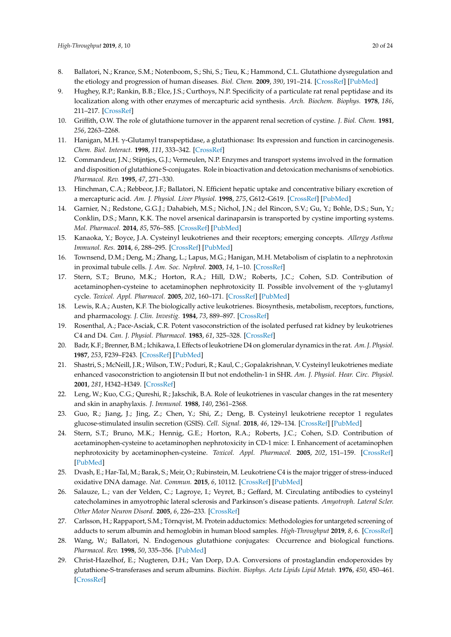- <span id="page-19-0"></span>8. Ballatori, N.; Krance, S.M.; Notenboom, S.; Shi, S.; Tieu, K.; Hammond, C.L. Glutathione dysregulation and the etiology and progression of human diseases. *Biol. Chem.* **2009**, *390*, 191–214. [\[CrossRef\]](http://dx.doi.org/10.1515/BC.2009.033) [\[PubMed\]](http://www.ncbi.nlm.nih.gov/pubmed/19166318)
- <span id="page-19-1"></span>9. Hughey, R.P.; Rankin, B.B.; Elce, J.S.; Curthoys, N.P. Specificity of a particulate rat renal peptidase and its localization along with other enzymes of mercapturic acid synthesis. *Arch. Biochem. Biophys.* **1978**, *186*, 211–217. [\[CrossRef\]](http://dx.doi.org/10.1016/0003-9861(78)90430-7)
- 10. Griffith, O.W. The role of glutathione turnover in the apparent renal secretion of cystine. *J. Biol. Chem.* **1981**, *256*, 2263–2268.
- <span id="page-19-2"></span>11. Hanigan, M.H. γ-Glutamyl transpeptidase, a glutathionase: Its expression and function in carcinogenesis. *Chem. Biol. Interact.* **1998**, *111*, 333–342. [\[CrossRef\]](http://dx.doi.org/10.1016/S0009-2797(97)00170-1)
- <span id="page-19-3"></span>12. Commandeur, J.N.; Stijntjes, G.J.; Vermeulen, N.P. Enzymes and transport systems involved in the formation and disposition of glutathione S-conjugates. Role in bioactivation and detoxication mechanisms of xenobiotics. *Pharmacol. Rev.* **1995**, *47*, 271–330.
- 13. Hinchman, C.A.; Rebbeor, J.F.; Ballatori, N. Efficient hepatic uptake and concentrative biliary excretion of a mercapturic acid. *Am. J. Physiol. Liver Physiol.* **1998**, *275*, G612–G619. [\[CrossRef\]](http://dx.doi.org/10.1152/ajpgi.1998.275.4.G612) [\[PubMed\]](http://www.ncbi.nlm.nih.gov/pubmed/9756488)
- <span id="page-19-4"></span>14. Garnier, N.; Redstone, G.G.J.; Dahabieh, M.S.; Nichol, J.N.; del Rincon, S.V.; Gu, Y.; Bohle, D.S.; Sun, Y.; Conklin, D.S.; Mann, K.K. The novel arsenical darinaparsin is transported by cystine importing systems. *Mol. Pharmacol.* **2014**, *85*, 576–585. [\[CrossRef\]](http://dx.doi.org/10.1124/mol.113.089433) [\[PubMed\]](http://www.ncbi.nlm.nih.gov/pubmed/24431147)
- <span id="page-19-5"></span>15. Kanaoka, Y.; Boyce, J.A. Cysteinyl leukotrienes and their receptors; emerging concepts. *Allergy Asthma Immunol. Res.* **2014**, *6*, 288–295. [\[CrossRef\]](http://dx.doi.org/10.4168/aair.2014.6.4.288) [\[PubMed\]](http://www.ncbi.nlm.nih.gov/pubmed/24991451)
- <span id="page-19-6"></span>16. Townsend, D.M.; Deng, M.; Zhang, L.; Lapus, M.G.; Hanigan, M.H. Metabolism of cisplatin to a nephrotoxin in proximal tubule cells. *J. Am. Soc. Nephrol.* **2003**, *14*, 1–10. [\[CrossRef\]](http://dx.doi.org/10.1097/01.ASN.0000042803.28024.92)
- <span id="page-19-7"></span>17. Stern, S.T.; Bruno, M.K.; Horton, R.A.; Hill, D.W.; Roberts, J.C.; Cohen, S.D. Contribution of acetaminophen-cysteine to acetaminophen nephrotoxicity II. Possible involvement of the  $\gamma$ -glutamyl cycle. *Toxicol. Appl. Pharmacol.* **2005**, *202*, 160–171. [\[CrossRef\]](http://dx.doi.org/10.1016/j.taap.2004.06.029) [\[PubMed\]](http://www.ncbi.nlm.nih.gov/pubmed/15629191)
- <span id="page-19-8"></span>18. Lewis, R.A.; Austen, K.F. The biologically active leukotrienes. Biosynthesis, metabolism, receptors, functions, and pharmacology. *J. Clin. Investig.* **1984**, *73*, 889–897. [\[CrossRef\]](http://dx.doi.org/10.1172/JCI111312)
- <span id="page-19-9"></span>19. Rosenthal, A.; Pace-Asciak, C.R. Potent vasoconstriction of the isolated perfused rat kidney by leukotrienes C4 and D4. *Can. J. Physiol. Pharmacol.* **1983**, *61*, 325–328. [\[CrossRef\]](http://dx.doi.org/10.1139/y83-049)
- 20. Badr, K.F.; Brenner, B.M.; Ichikawa, I. Effects of leukotriene D4 on glomerular dynamics in the rat. *Am. J. Physiol.* **1987**, *253*, F239–F243. [\[CrossRef\]](http://dx.doi.org/10.1152/ajprenal.1987.253.2.F239) [\[PubMed\]](http://www.ncbi.nlm.nih.gov/pubmed/3618788)
- <span id="page-19-10"></span>21. Shastri, S.; McNeill, J.R.; Wilson, T.W.; Poduri, R.; Kaul, C.; Gopalakrishnan, V. Cysteinyl leukotrienes mediate enhanced vasoconstriction to angiotensin II but not endothelin-1 in SHR. *Am. J. Physiol. Hear. Circ. Physiol.* **2001**, *281*, H342–H349. [\[CrossRef\]](http://dx.doi.org/10.1152/ajpheart.2001.281.1.H342)
- <span id="page-19-11"></span>22. Leng, W.; Kuo, C.G.; Qureshi, R.; Jakschik, B.A. Role of leukotrienes in vascular changes in the rat mesentery and skin in anaphylaxis. *J. Immunol.* **1988**, *140*, 2361–2368.
- <span id="page-19-12"></span>23. Guo, R.; Jiang, J.; Jing, Z.; Chen, Y.; Shi, Z.; Deng, B. Cysteinyl leukotriene receptor 1 regulates glucose-stimulated insulin secretion (GSIS). *Cell. Signal.* **2018**, *46*, 129–134. [\[CrossRef\]](http://dx.doi.org/10.1016/j.cellsig.2018.02.002) [\[PubMed\]](http://www.ncbi.nlm.nih.gov/pubmed/29412178)
- <span id="page-19-13"></span>24. Stern, S.T.; Bruno, M.K.; Hennig, G.E.; Horton, R.A.; Roberts, J.C.; Cohen, S.D. Contribution of acetaminophen-cysteine to acetaminophen nephrotoxicity in CD-1 mice: I. Enhancement of acetaminophen nephrotoxicity by acetaminophen-cysteine. *Toxicol. Appl. Pharmacol.* **2005**, *202*, 151–159. [\[CrossRef\]](http://dx.doi.org/10.1016/j.taap.2004.06.030) [\[PubMed\]](http://www.ncbi.nlm.nih.gov/pubmed/15629190)
- <span id="page-19-14"></span>25. Dvash, E.; Har-Tal, M.; Barak, S.; Meir, O.; Rubinstein, M. Leukotriene C4 is the major trigger of stress-induced oxidative DNA damage. *Nat. Commun.* **2015**, *6*, 10112. [\[CrossRef\]](http://dx.doi.org/10.1038/ncomms10112) [\[PubMed\]](http://www.ncbi.nlm.nih.gov/pubmed/26656251)
- <span id="page-19-15"></span>26. Salauze, L.; van der Velden, C.; Lagroye, I.; Veyret, B.; Geffard, M. Circulating antibodies to cysteinyl catecholamines in amyotrophic lateral sclerosis and Parkinson's disease patients. *Amyotroph. Lateral Scler. Other Motor Neuron Disord.* **2005**, *6*, 226–233. [\[CrossRef\]](http://dx.doi.org/10.1080/14660820510044469)
- <span id="page-19-16"></span>27. Carlsson, H.; Rappaport, S.M.; Törnqvist, M. Protein adductomics: Methodologies for untargeted screening of adducts to serum albumin and hemoglobin in human blood samples. *High-Throughput* **2019**, *8*, 6. [\[CrossRef\]](http://dx.doi.org/10.3390/ht8010006)
- <span id="page-19-17"></span>28. Wang, W.; Ballatori, N. Endogenous glutathione conjugates: Occurrence and biological functions. *Pharmacol. Rev.* **1998**, *50*, 335–356. [\[PubMed\]](http://www.ncbi.nlm.nih.gov/pubmed/9755286)
- <span id="page-19-18"></span>29. Christ-Hazelhof, E.; Nugteren, D.H.; Van Dorp, D.A. Conversions of prostaglandin endoperoxides by glutathione-S-transferases and serum albumins. *Biochim. Biophys. Acta Lipids Lipid Metab.* **1976**, *450*, 450–461. [\[CrossRef\]](http://dx.doi.org/10.1016/0005-2760(76)90018-7)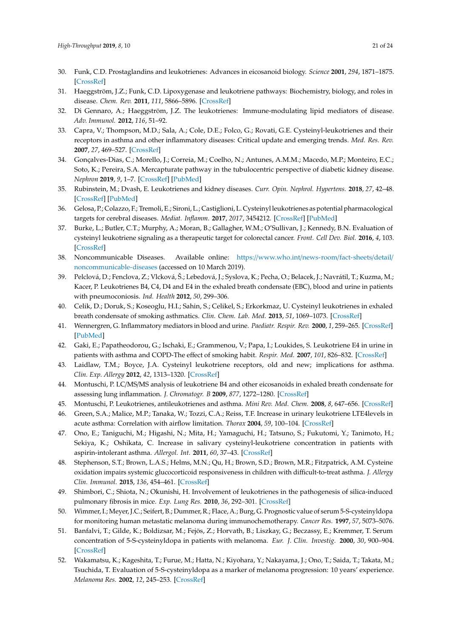- <span id="page-20-0"></span>30. Funk, C.D. Prostaglandins and leukotrienes: Advances in eicosanoid biology. *Science* **2001**, *294*, 1871–1875. [\[CrossRef\]](http://dx.doi.org/10.1126/science.294.5548.1871)
- <span id="page-20-19"></span><span id="page-20-2"></span>31. Haeggström, J.Z.; Funk, C.D. Lipoxygenase and leukotriene pathways: Biochemistry, biology, and roles in disease. *Chem. Rev.* **2011**, *111*, 5866–5896. [\[CrossRef\]](http://dx.doi.org/10.1021/cr200246d)
- <span id="page-20-20"></span><span id="page-20-1"></span>32. Di Gennaro, A.; Haeggström, J.Z. The leukotrienes: Immune-modulating lipid mediators of disease. *Adv. Immunol.* **2012**, *116*, 51–92.
- <span id="page-20-3"></span>33. Capra, V.; Thompson, M.D.; Sala, A.; Cole, D.E.; Folco, G.; Rovati, G.E. Cysteinyl-leukotrienes and their receptors in asthma and other inflammatory diseases: Critical update and emerging trends. *Med. Res. Rev.* **2007**, *27*, 469–527. [\[CrossRef\]](http://dx.doi.org/10.1002/med.20071)
- <span id="page-20-4"></span>34. Gonçalves-Dias, C.; Morello, J.; Correia, M.; Coelho, N.; Antunes, A.M.M.; Macedo, M.P.; Monteiro, E.C.; Soto, K.; Pereira, S.A. Mercapturate pathway in the tubulocentric perspective of diabetic kidney disease. *Nephron* **2019**, *9*, 1–7. [\[CrossRef\]](http://dx.doi.org/10.1159/000494390) [\[PubMed\]](http://www.ncbi.nlm.nih.gov/pubmed/30625494)
- <span id="page-20-5"></span>35. Rubinstein, M.; Dvash, E. Leukotrienes and kidney diseases. *Curr. Opin. Nephrol. Hypertens.* **2018**, *27*, 42–48. [\[CrossRef\]](http://dx.doi.org/10.1097/MNH.0000000000000381) [\[PubMed\]](http://www.ncbi.nlm.nih.gov/pubmed/29059080)
- <span id="page-20-6"></span>36. Gelosa, P.; Colazzo, F.; Tremoli, E.; Sironi, L.; Castiglioni, L. Cysteinyl leukotrienes as potential pharmacological targets for cerebral diseases. *Mediat. Inflamm.* **2017**, *2017*, 3454212. [\[CrossRef\]](http://dx.doi.org/10.1155/2017/3454212) [\[PubMed\]](http://www.ncbi.nlm.nih.gov/pubmed/28607533)
- <span id="page-20-21"></span><span id="page-20-7"></span>37. Burke, L.; Butler, C.T.; Murphy, A.; Moran, B.; Gallagher, W.M.; O'Sullivan, J.; Kennedy, B.N. Evaluation of cysteinyl leukotriene signaling as a therapeutic target for colorectal cancer. *Front. Cell Dev. Biol.* **2016**, *4*, 103. [\[CrossRef\]](http://dx.doi.org/10.3389/fcell.2016.00103)
- <span id="page-20-22"></span><span id="page-20-8"></span>38. Noncommunicable Diseases. Available online: https://[www.who.int](https://www.who.int/news-room/fact-sheets/detail/noncommunicable-diseases)/news-room/fact-sheets/detail/ [noncommunicable-diseases](https://www.who.int/news-room/fact-sheets/detail/noncommunicable-diseases) (accessed on 10 March 2019).
- <span id="page-20-9"></span>39. Pelclová, D.; Fenclova, Z.; Vlcková, Š.; Lebedová, J.; Syslova, K.; Pecha, O.; Belacek, J.; Navrátil, T.; Kuzma, M.; Kacer, P. Leukotrienes B4, C4, D4 and E4 in the exhaled breath condensate (EBC), blood and urine in patients with pneumoconiosis. *Ind. Health* **2012**, *50*, 299–306.
- <span id="page-20-13"></span>40. Celik, D.; Doruk, S.; Koseoglu, H.I.; Sahin, S.; Celikel, S.; Erkorkmaz, U. Cysteinyl leukotrienes in exhaled breath condensate of smoking asthmatics. *Clin. Chem. Lab. Med.* **2013**, *51*, 1069–1073. [\[CrossRef\]](http://dx.doi.org/10.1515/cclm-2012-0479)
- <span id="page-20-23"></span>41. Wennergren, G. Inflammatory mediators in blood and urine. *Paediatr. Respir. Rev.* **2000**, *1*, 259–265. [\[CrossRef\]](http://dx.doi.org/10.1053/prrv.2000.0057) [\[PubMed\]](http://www.ncbi.nlm.nih.gov/pubmed/12531088)
- <span id="page-20-24"></span><span id="page-20-10"></span>42. Gaki, E.; Papatheodorou, G.; Ischaki, E.; Grammenou, V.; Papa, I.; Loukides, S. Leukotriene E4 in urine in patients with asthma and COPD-The effect of smoking habit. *Respir. Med.* **2007**, *101*, 826–832. [\[CrossRef\]](http://dx.doi.org/10.1016/j.rmed.2006.06.031)
- <span id="page-20-25"></span><span id="page-20-11"></span>43. Laidlaw, T.M.; Boyce, J.A. Cysteinyl leukotriene receptors, old and new; implications for asthma. *Clin. Exp. Allergy* **2012**, *42*, 1313–1320. [\[CrossRef\]](http://dx.doi.org/10.1111/j.1365-2222.2012.03982.x)
- 44. Montuschi, P. LC/MS/MS analysis of leukotriene B4 and other eicosanoids in exhaled breath condensate for assessing lung inflammation. *J. Chromatogr. B* **2009**, *877*, 1272–1280. [\[CrossRef\]](http://dx.doi.org/10.1016/j.jchromb.2009.01.036)
- <span id="page-20-12"></span>45. Montuschi, P. Leukotrienes, antileukotrienes and asthma. *Mini Rev. Med. Chem.* **2008**, *8*, 647–656. [\[CrossRef\]](http://dx.doi.org/10.2174/138955708784567395)
- <span id="page-20-14"></span>46. Green, S.A.; Malice, M.P.; Tanaka, W.; Tozzi, C.A.; Reiss, T.F. Increase in urinary leukotriene LTE4levels in acute asthma: Correlation with airflow limitation. *Thorax* **2004**, *59*, 100–104. [\[CrossRef\]](http://dx.doi.org/10.1136/thorax.2003.006825)
- <span id="page-20-15"></span>47. Ono, E.; Taniguchi, M.; Higashi, N.; Mita, H.; Yamaguchi, H.; Tatsuno, S.; Fukutomi, Y.; Tanimoto, H.; Sekiya, K.; Oshikata, C. Increase in salivary cysteinyl-leukotriene concentration in patients with aspirin-intolerant asthma. *Allergol. Int.* **2011**, *60*, 37–43. [\[CrossRef\]](http://dx.doi.org/10.2332/allergolint.09-OA-0166)
- <span id="page-20-16"></span>48. Stephenson, S.T.; Brown, L.A.S.; Helms, M.N.; Qu, H.; Brown, S.D.; Brown, M.R.; Fitzpatrick, A.M. Cysteine oxidation impairs systemic glucocorticoid responsiveness in children with difficult-to-treat asthma. *J. Allergy Clin. Immunol.* **2015**, *136*, 454–461. [\[CrossRef\]](http://dx.doi.org/10.1016/j.jaci.2015.01.023)
- <span id="page-20-17"></span>49. Shimbori, C.; Shiota, N.; Okunishi, H. Involvement of leukotrienes in the pathogenesis of silica-induced pulmonary fibrosis in mice. *Exp. Lung Res.* **2010**, *36*, 292–301. [\[CrossRef\]](http://dx.doi.org/10.3109/01902140903585517)
- <span id="page-20-18"></span>50. Wimmer, I.; Meyer, J.C.; Seifert, B.; Dummer, R.; Flace, A.; Burg, G. Prognostic value of serum 5-S-cysteinyldopa for monitoring human metastatic melanoma during immunochemotherapy. *Cancer Res.* **1997**, *57*, 5073–5076.
- 51. Banfalvi, T.; Gilde, K.; Boldizsar, M.; Fejös, Z.; Horvath, B.; Liszkay, G.; Beczassy, E.; Kremmer, T. Serum concentration of 5-S-cysteinyldopa in patients with melanoma. *Eur. J. Clin. Investig.* **2000**, *30*, 900–904. [\[CrossRef\]](http://dx.doi.org/10.1046/j.1365-2362.2000.00710.x)
- 52. Wakamatsu, K.; Kageshita, T.; Furue, M.; Hatta, N.; Kiyohara, Y.; Nakayama, J.; Ono, T.; Saida, T.; Takata, M.; Tsuchida, T. Evaluation of 5-S-cysteinyldopa as a marker of melanoma progression: 10 years' experience. *Melanoma Res.* **2002**, *12*, 245–253. [\[CrossRef\]](http://dx.doi.org/10.1097/00008390-200206000-00008)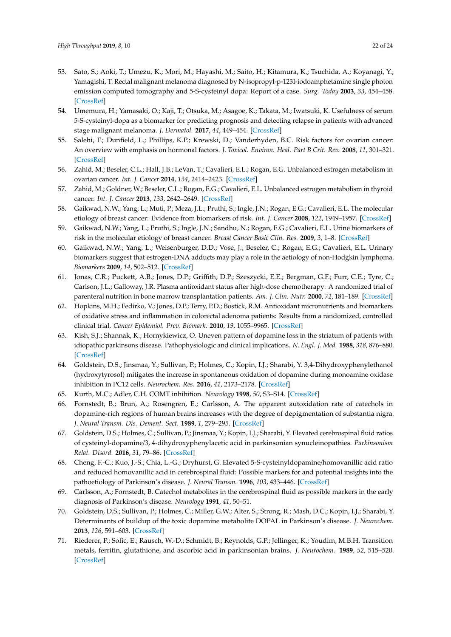- <span id="page-21-26"></span><span id="page-21-25"></span><span id="page-21-24"></span><span id="page-21-23"></span><span id="page-21-22"></span><span id="page-21-21"></span><span id="page-21-19"></span><span id="page-21-18"></span><span id="page-21-1"></span>53. Sato, S.; Aoki, T.; Umezu, K.; Mori, M.; Hayashi, M.; Saito, H.; Kitamura, K.; Tsuchida, A.; Koyanagi, Y.; Yamagishi, T. Rectal malignant melanoma diagnosed by N-isopropyl-p-123I-iodoamphetamine single photon emission computed tomography and 5-S-cysteinyl dopa: Report of a case. *Surg. Today* **2003**, *33*, 454–458. [\[CrossRef\]](http://dx.doi.org/10.1007/s10595-002-2506-z)
- <span id="page-21-20"></span><span id="page-21-0"></span>54. Umemura, H.; Yamasaki, O.; Kaji, T.; Otsuka, M.; Asagoe, K.; Takata, M.; Iwatsuki, K. Usefulness of serum 5-S-cysteinyl-dopa as a biomarker for predicting prognosis and detecting relapse in patients with advanced stage malignant melanoma. *J. Dermatol.* **2017**, *44*, 449–454. [\[CrossRef\]](http://dx.doi.org/10.1111/1346-8138.13651)
- <span id="page-21-2"></span>55. Salehi, F.; Dunfield, L.; Phillips, K.P.; Krewski, D.; Vanderhyden, B.C. Risk factors for ovarian cancer: An overview with emphasis on hormonal factors. *J. Toxicol. Environ. Heal. Part B Crit. Rev.* **2008**, *11*, 301–321. [\[CrossRef\]](http://dx.doi.org/10.1080/10937400701876095)
- <span id="page-21-6"></span>56. Zahid, M.; Beseler, C.L.; Hall, J.B.; LeVan, T.; Cavalieri, E.L.; Rogan, E.G. Unbalanced estrogen metabolism in ovarian cancer. *Int. J. Cancer* **2014**, *134*, 2414–2423. [\[CrossRef\]](http://dx.doi.org/10.1002/ijc.28565)
- <span id="page-21-3"></span>57. Zahid, M.; Goldner, W.; Beseler, C.L.; Rogan, E.G.; Cavalieri, E.L. Unbalanced estrogen metabolism in thyroid cancer. *Int. J. Cancer* **2013**, *133*, 2642–2649. [\[CrossRef\]](http://dx.doi.org/10.1002/ijc.28275)
- <span id="page-21-27"></span><span id="page-21-4"></span>58. Gaikwad, N.W.; Yang, L.; Muti, P.; Meza, J.L.; Pruthi, S.; Ingle, J.N.; Rogan, E.G.; Cavalieri, E.L. The molecular etiology of breast cancer: Evidence from biomarkers of risk. *Int. J. Cancer* **2008**, *122*, 1949–1957. [\[CrossRef\]](http://dx.doi.org/10.1002/ijc.23329)
- 59. Gaikwad, N.W.; Yang, L.; Pruthi, S.; Ingle, J.N.; Sandhu, N.; Rogan, E.G.; Cavalieri, E.L. Urine biomarkers of risk in the molecular etiology of breast cancer. *Breast Cancer Basic Clin. Res.* **2009**, *3*, 1–8. [\[CrossRef\]](http://dx.doi.org/10.4137/BCBCR.S2112)
- <span id="page-21-5"></span>60. Gaikwad, N.W.; Yang, L.; Weisenburger, D.D.; Vose, J.; Beseler, C.; Rogan, E.G.; Cavalieri, E.L. Urinary biomarkers suggest that estrogen-DNA adducts may play a role in the aetiology of non-Hodgkin lymphoma. *Biomarkers* **2009**, *14*, 502–512. [\[CrossRef\]](http://dx.doi.org/10.3109/13547500903121715)
- <span id="page-21-7"></span>61. Jonas, C.R.; Puckett, A.B.; Jones, D.P.; Griffith, D.P.; Szeszycki, E.E.; Bergman, G.F.; Furr, C.E.; Tyre, C.; Carlson, J.L.; Galloway, J.R. Plasma antioxidant status after high-dose chemotherapy: A randomized trial of parenteral nutrition in bone marrow transplantation patients. *Am. J. Clin. Nutr.* **2000**, *72*, 181–189. [\[CrossRef\]](http://dx.doi.org/10.1093/ajcn/72.1.181)
- <span id="page-21-8"></span>62. Hopkins, M.H.; Fedirko, V.; Jones, D.P.; Terry, P.D.; Bostick, R.M. Antioxidant micronutrients and biomarkers of oxidative stress and inflammation in colorectal adenoma patients: Results from a randomized, controlled clinical trial. *Cancer Epidemiol. Prev. Biomark.* **2010**, *19*, 1055–9965. [\[CrossRef\]](http://dx.doi.org/10.1158/1055-9965.EPI-09-1052)
- <span id="page-21-9"></span>63. Kish, S.J.; Shannak, K.; Hornykiewicz, O. Uneven pattern of dopamine loss in the striatum of patients with idiopathic parkinsons disease. Pathophysiologic and clinical implications. *N. Engl. J. Med.* **1988**, *318*, 876–880. [\[CrossRef\]](http://dx.doi.org/10.1056/NEJM198804073181402)
- <span id="page-21-10"></span>64. Goldstein, D.S.; Jinsmaa, Y.; Sullivan, P.; Holmes, C.; Kopin, I.J.; Sharabi, Y. 3,4-Dihydroxyphenylethanol (hydroxytyrosol) mitigates the increase in spontaneous oxidation of dopamine during monoamine oxidase inhibition in PC12 cells. *Neurochem. Res.* **2016**, *41*, 2173–2178. [\[CrossRef\]](http://dx.doi.org/10.1007/s11064-016-1959-0)
- <span id="page-21-11"></span>65. Kurth, M.C.; Adler, C.H. COMT inhibition. *Neurology* **1998**, *50*, S3–S14. [\[CrossRef\]](http://dx.doi.org/10.1212/WNL.50.5_Suppl_5.S3)
- <span id="page-21-12"></span>66. Fornstedt, B.; Brun, A.; Rosengren, E.; Carlsson, A. The apparent autoxidation rate of catechols in dopamine-rich regions of human brains increases with the degree of depigmentation of substantia nigra. *J. Neural Transm. Dis. Dement. Sect.* **1989**, *1*, 279–295. [\[CrossRef\]](http://dx.doi.org/10.1007/BF02263482)
- <span id="page-21-13"></span>67. Goldstein, D.S.; Holmes, C.; Sullivan, P.; Jinsmaa, Y.; Kopin, I.J.; Sharabi, Y. Elevated cerebrospinal fluid ratios of cysteinyl-dopamine/3, 4-dihydroxyphenylacetic acid in parkinsonian synucleinopathies. *Parkinsonism Relat. Disord.* **2016**, *31*, 79–86. [\[CrossRef\]](http://dx.doi.org/10.1016/j.parkreldis.2016.07.009)
- <span id="page-21-14"></span>68. Cheng, F.-C.; Kuo, J.-S.; Chia, L.-G.; Dryhurst, G. Elevated 5-S-cysteinyldopamine/homovanillic acid ratio and reduced homovanillic acid in cerebrospinal fluid: Possible markers for and potential insights into the pathoetiology of Parkinson's disease. *J. Neural Transm.* **1996**, *103*, 433–446. [\[CrossRef\]](http://dx.doi.org/10.1007/BF01276419)
- <span id="page-21-15"></span>69. Carlsson, A.; Fornstedt, B. Catechol metabolites in the cerebrospinal fluid as possible markers in the early diagnosis of Parkinson's disease. *Neurology* **1991**, *41*, 50–51.
- <span id="page-21-16"></span>70. Goldstein, D.S.; Sullivan, P.; Holmes, C.; Miller, G.W.; Alter, S.; Strong, R.; Mash, D.C.; Kopin, I.J.; Sharabi, Y. Determinants of buildup of the toxic dopamine metabolite DOPAL in Parkinson's disease. *J. Neurochem.* **2013**, *126*, 591–603. [\[CrossRef\]](http://dx.doi.org/10.1111/jnc.12345)
- <span id="page-21-17"></span>71. Riederer, P.; Sofic, E.; Rausch, W.-D.; Schmidt, B.; Reynolds, G.P.; Jellinger, K.; Youdim, M.B.H. Transition metals, ferritin, glutathione, and ascorbic acid in parkinsonian brains. *J. Neurochem.* **1989**, *52*, 515–520. [\[CrossRef\]](http://dx.doi.org/10.1111/j.1471-4159.1989.tb09150.x)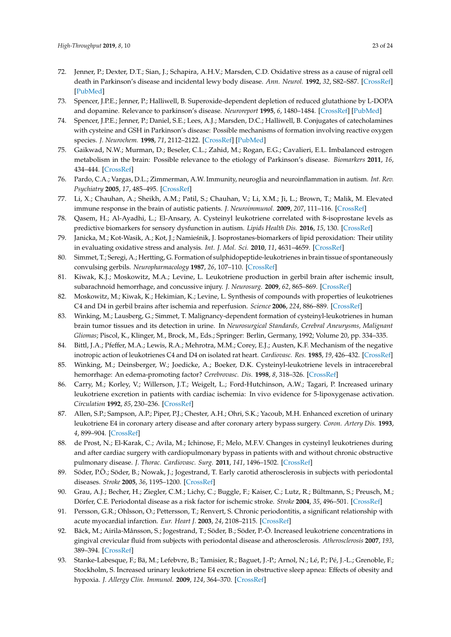- <span id="page-22-13"></span><span id="page-22-12"></span><span id="page-22-11"></span><span id="page-22-0"></span>72. Jenner, P.; Dexter, D.T.; Sian, J.; Schapira, A.H.V.; Marsden, C.D. Oxidative stress as a cause of nigral cell death in Parkinson's disease and incidental lewy body disease. *Ann. Neurol.* **1992**, *32*, S82–S87. [\[CrossRef\]](http://dx.doi.org/10.1002/ana.410320714) [\[PubMed\]](http://www.ncbi.nlm.nih.gov/pubmed/1510385)
- <span id="page-22-1"></span>73. Spencer, J.P.E.; Jenner, P.; Halliwell, B. Superoxide-dependent depletion of reduced glutathione by L-DOPA and dopamine. Relevance to parkinson's disease. *Neuroreport* **1995**, *6*, 1480–1484. [\[CrossRef\]](http://dx.doi.org/10.1097/00001756-199507310-00004) [\[PubMed\]](http://www.ncbi.nlm.nih.gov/pubmed/7579129)
- <span id="page-22-2"></span>74. Spencer, J.P.E.; Jenner, P.; Daniel, S.E.; Lees, A.J.; Marsden, D.C.; Halliwell, B. Conjugates of catecholamines with cysteine and GSH in Parkinson's disease: Possible mechanisms of formation involving reactive oxygen species. *J. Neurochem.* **1998**, *71*, 2112–2122. [\[CrossRef\]](http://dx.doi.org/10.1046/j.1471-4159.1998.71052112.x) [\[PubMed\]](http://www.ncbi.nlm.nih.gov/pubmed/9798937)
- <span id="page-22-3"></span>75. Gaikwad, N.W.; Murman, D.; Beseler, C.L.; Zahid, M.; Rogan, E.G.; Cavalieri, E.L. Imbalanced estrogen metabolism in the brain: Possible relevance to the etiology of Parkinson's disease. *Biomarkers* **2011**, *16*, 434–444. [\[CrossRef\]](http://dx.doi.org/10.3109/1354750X.2011.588725)
- <span id="page-22-24"></span><span id="page-22-4"></span>76. Pardo, C.A.; Vargas, D.L.; Zimmerman, A.W. Immunity, neuroglia and neuroinflammation in autism. *Int. Rev. Psychiatry* **2005**, *17*, 485–495. [\[CrossRef\]](http://dx.doi.org/10.1080/02646830500381930)
- <span id="page-22-25"></span><span id="page-22-5"></span>77. Li, X.; Chauhan, A.; Sheikh, A.M.; Patil, S.; Chauhan, V.; Li, X.M.; Ji, L.; Brown, T.; Malik, M. Elevated immune response in the brain of autistic patients. *J. Neuroimmunol.* **2009**, *207*, 111–116. [\[CrossRef\]](http://dx.doi.org/10.1016/j.jneuroim.2008.12.002)
- <span id="page-22-26"></span><span id="page-22-6"></span>78. Qasem, H.; Al-Ayadhi, L.; El-Ansary, A. Cysteinyl leukotriene correlated with 8-isoprostane levels as predictive biomarkers for sensory dysfunction in autism. *Lipids Health Dis.* **2016**, *15*, 130. [\[CrossRef\]](http://dx.doi.org/10.1186/s12944-016-0298-0)
- <span id="page-22-7"></span>79. Janicka, M.; Kot-Wasik, A.; Kot, J.; Namieśnik, J. Isoprostanes-biomarkers of lipid peroxidation: Their utility in evaluating oxidative stress and analysis. *Int. J. Mol. Sci.* **2010**, *11*, 4631–4659. [\[CrossRef\]](http://dx.doi.org/10.3390/ijms11114631)
- <span id="page-22-8"></span>80. Simmet, T.; Seregi, A.; Hertting, G. Formation of sulphidopeptide-leukotrienes in brain tissue of spontaneously convulsing gerbils. *Neuropharmacology* **1987**, *26*, 107–110. [\[CrossRef\]](http://dx.doi.org/10.1016/0028-3908(87)90053-0)
- 81. Kiwak, K.J.; Moskowitz, M.A.; Levine, L. Leukotriene production in gerbil brain after ischemic insult, subarachnoid hemorrhage, and concussive injury. *J. Neurosurg.* **2009**, *62*, 865–869. [\[CrossRef\]](http://dx.doi.org/10.3171/jns.1985.62.6.0865)
- <span id="page-22-9"></span>82. Moskowitz, M.; Kiwak, K.; Hekimian, K.; Levine, L. Synthesis of compounds with properties of leukotrienes C4 and D4 in gerbil brains after ischemia and reperfusion. *Science* **2006**, *224*, 886–889. [\[CrossRef\]](http://dx.doi.org/10.1126/science.6719118)
- <span id="page-22-10"></span>83. Winking, M.; Lausberg, G.; Simmet, T. Malignancy-dependent formation of cysteinyl-leukotrienes in human brain tumor tissues and its detection in urine. In *Neurosurgical Standards, Cerebral Aneurysms, Malignant Gliomas*; Piscol, K., Klinger, M., Brock, M., Eds.; Springer: Berlin, Germany, 1992; Volume 20, pp. 334–335.
- <span id="page-22-27"></span><span id="page-22-14"></span>84. Bittl, J.A.; Pfeffer, M.A.; Lewis, R.A.; Mehrotra, M.M.; Corey, E.J.; Austen, K.F. Mechanism of the negative inotropic action of leukotrienes C4 and D4 on isolated rat heart. *Cardiovasc. Res.* **1985**, *19*, 426–432. [\[CrossRef\]](http://dx.doi.org/10.1093/cvr/19.7.426)
- <span id="page-22-23"></span><span id="page-22-15"></span>85. Winking, M.; Deinsberger, W.; Joedicke, A.; Boeker, D.K. Cysteinyl-leukotriene levels in intracerebral hemorrhage: An edema-promoting factor? *Cerebrovasc. Dis.* **1998**, *8*, 318–326. [\[CrossRef\]](http://dx.doi.org/10.1159/000015874)
- <span id="page-22-16"></span>86. Carry, M.; Korley, V.; Willerson, J.T.; Weigelt, L.; Ford-Hutchinson, A.W.; Tagari, P. Increased urinary leukotriene excretion in patients with cardiac ischemia: In vivo evidence for 5-lipoxygenase activation. *Circulation* **1992**, *85*, 230–236. [\[CrossRef\]](http://dx.doi.org/10.1161/01.CIR.85.1.230)
- <span id="page-22-17"></span>87. Allen, S.P.; Sampson, A.P.; Piper, P.J.; Chester, A.H.; Ohri, S.K.; Yacoub, M.H. Enhanced excretion of urinary leukotriene E4 in coronary artery disease and after coronary artery bypass surgery. *Coron. Artery Dis.* **1993**, *4*, 899–904. [\[CrossRef\]](http://dx.doi.org/10.1097/00019501-199310000-00009)
- <span id="page-22-18"></span>88. de Prost, N.; El-Karak, C.; Avila, M.; Ichinose, F.; Melo, M.F.V. Changes in cysteinyl leukotrienes during and after cardiac surgery with cardiopulmonary bypass in patients with and without chronic obstructive pulmonary disease. *J. Thorac. Cardiovasc. Surg.* **2011**, *141*, 1496–1502. [\[CrossRef\]](http://dx.doi.org/10.1016/j.jtcvs.2011.01.035)
- <span id="page-22-19"></span>89. Söder, P.Ö.; Söder, B.; Nowak, J.; Jogestrand, T. Early carotid atherosclerosis in subjects with periodontal diseases. *Stroke* **2005**, *36*, 1195–1200. [\[CrossRef\]](http://dx.doi.org/10.1161/01.STR.0000165916.90593.cb)
- 90. Grau, A.J.; Becher, H.; Ziegler, C.M.; Lichy, C.; Buggle, F.; Kaiser, C.; Lutz, R.; Bültmann, S.; Preusch, M.; Dörfer, C.E. Periodontal disease as a risk factor for ischemic stroke. *Stroke* **2004**, *35*, 496–501. [\[CrossRef\]](http://dx.doi.org/10.1161/01.STR.0000110789.20526.9D)
- <span id="page-22-20"></span>91. Persson, G.R.; Ohlsson, O.; Pettersson, T.; Renvert, S. Chronic periodontitis, a significant relationship with acute myocardial infarction. *Eur. Heart J.* **2003**, *24*, 2108–2115. [\[CrossRef\]](http://dx.doi.org/10.1016/j.ehj.2003.10.007)
- <span id="page-22-21"></span>92. Bäck, M.; Airila-Månsson, S.; Jogestrand, T.; Söder, B.; Söder, P.-Ö. Increased leukotriene concentrations in gingival crevicular fluid from subjects with periodontal disease and atherosclerosis. *Atherosclerosis* **2007**, *193*, 389–394. [\[CrossRef\]](http://dx.doi.org/10.1016/j.atherosclerosis.2006.07.003)
- <span id="page-22-22"></span>93. Stanke-Labesque, F.; Bä, M.; Lefebvre, B.; Tamisier, R.; Baguet, J.-P.; Arnol, N.; Lé, P.; Pé, J.-L.; Grenoble, F.; Stockholm, S. Increased urinary leukotriene E4 excretion in obstructive sleep apnea: Effects of obesity and hypoxia. *J. Allergy Clin. Immunol.* **2009**, *124*, 364–370. [\[CrossRef\]](http://dx.doi.org/10.1016/j.jaci.2009.05.033)